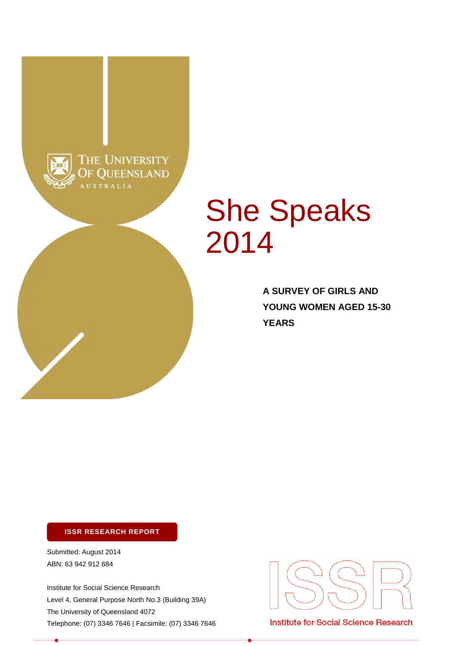

# She Speaks 2014

**A SURVEY OF GIRLS AND YOUNG WOMEN AGED 15-30 YEARS**

#### **ISSR RESEARCH REPORT**

Submitted: August 2014 ABN: 63 942 912 684

Institute for Social Science Research Level 4, General Purpose North No.3 (Building 39A) The University of Queensland 4072 Telephone: (07) 3346 7646 | Facsimile: (07) 3346 7646



Institute for Social Science Research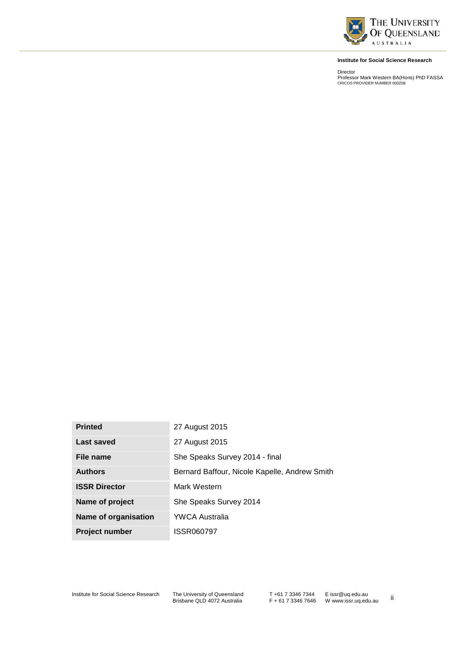

#### **Institute for Social Science Research**

Director Professor Mark Western BA(Hons) PhD FASSA CRICOS PROVIDER NUMBER 00025B

| <b>Printed</b>        | 27 August 2015                                |
|-----------------------|-----------------------------------------------|
| Last saved            | 27 August 2015                                |
| File name             | She Speaks Survey 2014 - final                |
| <b>Authors</b>        | Bernard Baffour, Nicole Kapelle, Andrew Smith |
| <b>ISSR Director</b>  | Mark Western                                  |
| Name of project       | She Speaks Survey 2014                        |
| Name of organisation  | <b>YWCA Australia</b>                         |
| <b>Project number</b> | ISSR060797                                    |

Institute for Social Science Research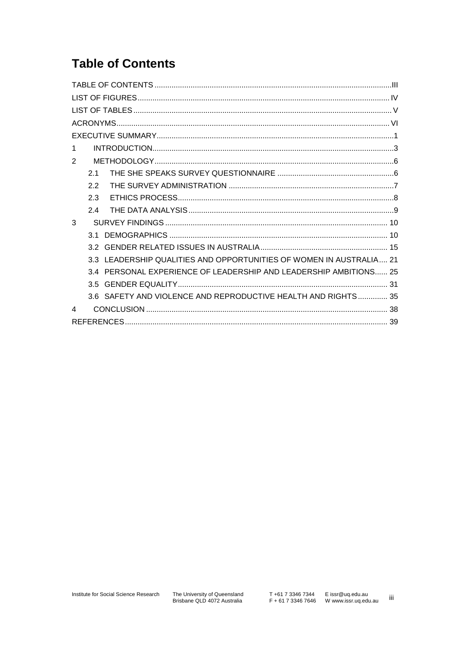# **Table of Contents**

| 1                                                                   |
|---------------------------------------------------------------------|
| 2                                                                   |
| 21                                                                  |
| 22                                                                  |
| 2.3                                                                 |
| 2.4                                                                 |
| 3                                                                   |
| 3 1                                                                 |
|                                                                     |
| 3.3 LEADERSHIP QUALITIES AND OPPORTUNITIES OF WOMEN IN AUSTRALIA 21 |
| 3.4 PERSONAL EXPERIENCE OF LEADERSHIP AND LEADERSHIP AMBITIONS 25   |
| 3.5 I                                                               |
| 3.6 SAFETY AND VIOLENCE AND REPRODUCTIVE HEALTH AND RIGHTS 35       |
| $\boldsymbol{\varDelta}$                                            |
|                                                                     |

 $\,$ iii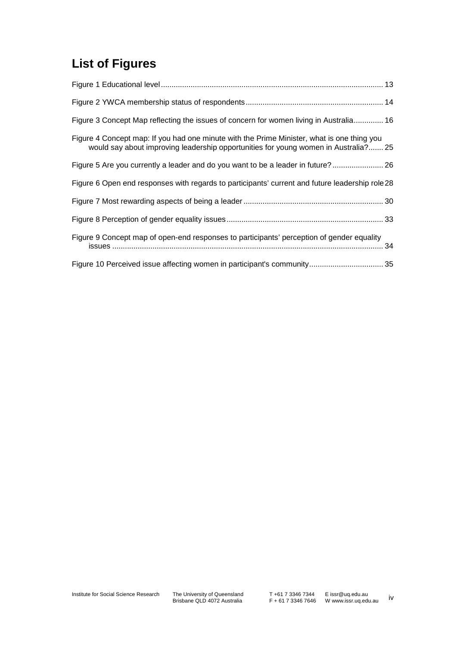# **List of Figures**

| Figure 3 Concept Map reflecting the issues of concern for women living in Australia 16                                                                                            |
|-----------------------------------------------------------------------------------------------------------------------------------------------------------------------------------|
| Figure 4 Concept map: If you had one minute with the Prime Minister, what is one thing you<br>would say about improving leadership opportunities for young women in Australia? 25 |
| Figure 5 Are you currently a leader and do you want to be a leader in future? 26                                                                                                  |
| Figure 6 Open end responses with regards to participants' current and future leadership role 28                                                                                   |
|                                                                                                                                                                                   |
|                                                                                                                                                                                   |
| Figure 9 Concept map of open-end responses to participants' perception of gender equality                                                                                         |
|                                                                                                                                                                                   |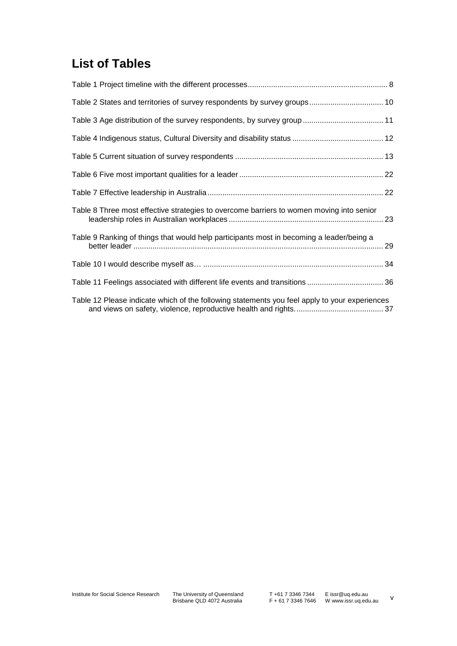# **List of Tables**

| Table 2 States and territories of survey respondents by survey groups 10                      |  |
|-----------------------------------------------------------------------------------------------|--|
|                                                                                               |  |
|                                                                                               |  |
|                                                                                               |  |
|                                                                                               |  |
|                                                                                               |  |
| Table 8 Three most effective strategies to overcome barriers to women moving into senior      |  |
| Table 9 Ranking of things that would help participants most in becoming a leader/being a      |  |
|                                                                                               |  |
| Table 11 Feelings associated with different life events and transitions  36                   |  |
| Table 12 Please indicate which of the following statements you feel apply to your experiences |  |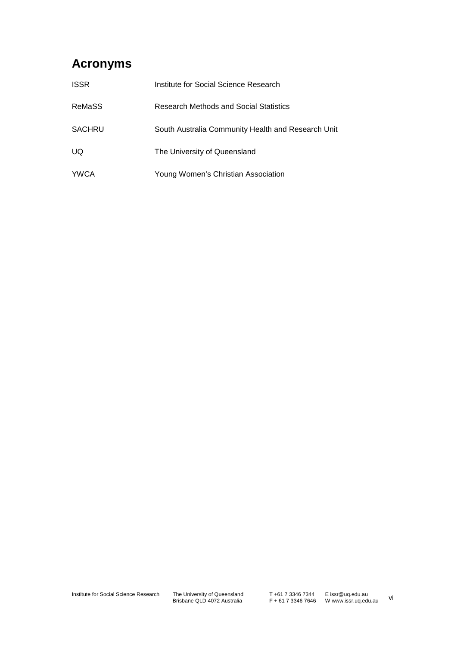# **Acronyms**

| <b>ISSR</b> | Institute for Social Science Research              |
|-------------|----------------------------------------------------|
| ReMaSS      | Research Methods and Social Statistics             |
| SACHRU      | South Australia Community Health and Research Unit |
| UQ.         | The University of Queensland                       |
| <b>YWCA</b> | Young Women's Christian Association                |

The University of Queensland<br>Brisbane QLD 4072 Australia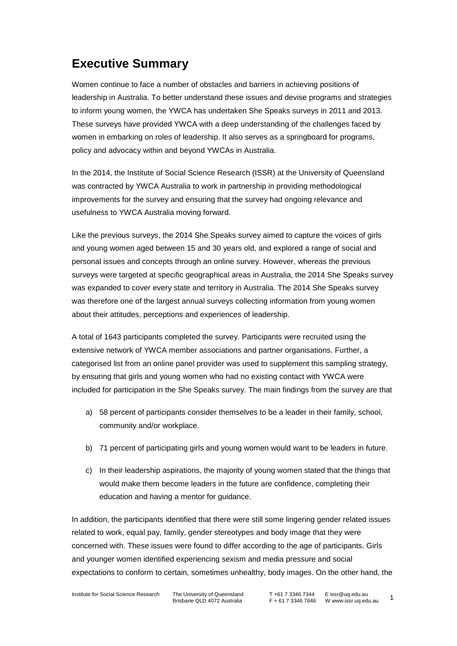# **Executive Summary**

Women continue to face a number of obstacles and barriers in achieving positions of leadership in Australia. To better understand these issues and devise programs and strategies to inform young women, the YWCA has undertaken She Speaks surveys in 2011 and 2013. These surveys have provided YWCA with a deep understanding of the challenges faced by women in embarking on roles of leadership. It also serves as a springboard for programs, policy and advocacy within and beyond YWCAs in Australia.

In the 2014, the Institute of Social Science Research (ISSR) at the University of Queensland was contracted by YWCA Australia to work in partnership in providing methodological improvements for the survey and ensuring that the survey had ongoing relevance and usefulness to YWCA Australia moving forward.

Like the previous surveys, the 2014 She Speaks survey aimed to capture the voices of girls and young women aged between 15 and 30 years old, and explored a range of social and personal issues and concepts through an online survey. However, whereas the previous surveys were targeted at specific geographical areas in Australia, the 2014 She Speaks survey was expanded to cover every state and territory in Australia. The 2014 She Speaks survey was therefore one of the largest annual surveys collecting information from young women about their attitudes, perceptions and experiences of leadership.

A total of 1643 participants completed the survey. Participants were recruited using the extensive network of YWCA member associations and partner organisations. Further, a categorised list from an online panel provider was used to supplement this sampling strategy, by ensuring that girls and young women who had no existing contact with YWCA were included for participation in the She Speaks survey. The main findings from the survey are that

- a) 58 percent of participants consider themselves to be a leader in their family, school, community and/or workplace.
- b) 71 percent of participating girls and young women would want to be leaders in future.
- c) In their leadership aspirations, the majority of young women stated that the things that would make them become leaders in the future are confidence, completing their education and having a mentor for guidance.

In addition, the participants identified that there were still some lingering gender related issues related to work, equal pay, family, gender stereotypes and body image that they were concerned with. These issues were found to differ according to the age of participants. Girls and younger women identified experiencing sexism and media pressure and social expectations to conform to certain, sometimes unhealthy, body images. On the other hand, the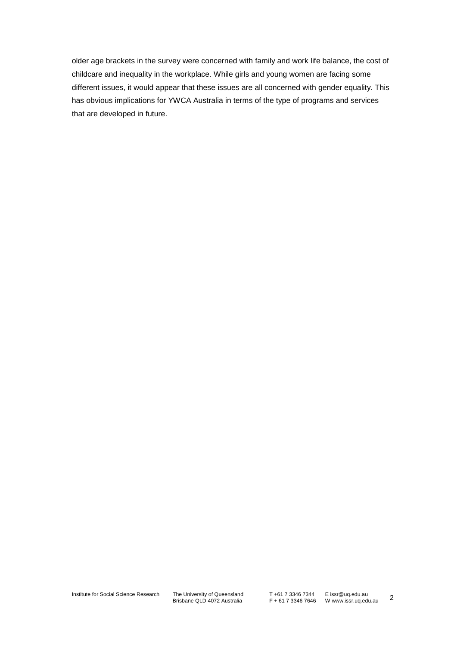older age brackets in the survey were concerned with family and work life balance, the cost of childcare and inequality in the workplace. While girls and young women are facing some different issues, it would appear that these issues are all concerned with gender equality. This has obvious implications for YWCA Australia in terms of the type of programs and services that are developed in future.

The University of Queensland<br>Brisbane QLD 4072 Australia

T +61 7 3346 7344 F + 61 7 3346 7646 E issr@uq.edu.au W www.issr.uq.edu.au 2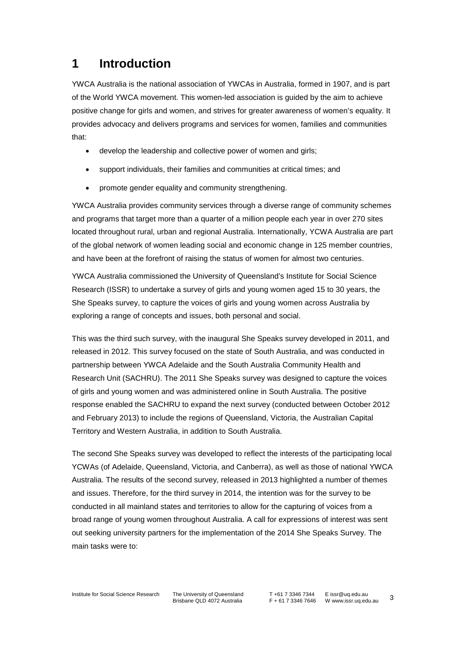# **1 Introduction**

YWCA Australia is the national association of YWCAs in Australia, formed in 1907, and is part of the World YWCA movement. This women-led association is guided by the aim to achieve positive change for girls and women, and strives for greater awareness of women's equality. It provides advocacy and delivers programs and services for women, families and communities that:

- develop the leadership and collective power of women and girls;
- support individuals, their families and communities at critical times; and
- promote gender equality and community strengthening.

YWCA Australia provides community services through a diverse range of community schemes and programs that target more than a quarter of a million people each year in over 270 sites located throughout rural, urban and regional Australia. Internationally, YCWA Australia are part of the global network of women leading social and economic change in 125 member countries, and have been at the forefront of raising the status of women for almost two centuries.

YWCA Australia commissioned the University of Queensland's Institute for Social Science Research (ISSR) to undertake a survey of girls and young women aged 15 to 30 years, the She Speaks survey, to capture the voices of girls and young women across Australia by exploring a range of concepts and issues, both personal and social.

This was the third such survey, with the inaugural She Speaks survey developed in 2011, and released in 2012. This survey focused on the state of South Australia, and was conducted in partnership between YWCA Adelaide and the South Australia Community Health and Research Unit (SACHRU). The 2011 She Speaks survey was designed to capture the voices of girls and young women and was administered online in South Australia. The positive response enabled the SACHRU to expand the next survey (conducted between October 2012 and February 2013) to include the regions of Queensland, Victoria, the Australian Capital Territory and Western Australia, in addition to South Australia.

The second She Speaks survey was developed to reflect the interests of the participating local YCWAs (of Adelaide, Queensland, Victoria, and Canberra), as well as those of national YWCA Australia. The results of the second survey, released in 2013 highlighted a number of themes and issues. Therefore, for the third survey in 2014, the intention was for the survey to be conducted in all mainland states and territories to allow for the capturing of voices from a broad range of young women throughout Australia. A call for expressions of interest was sent out seeking university partners for the implementation of the 2014 She Speaks Survey. The main tasks were to: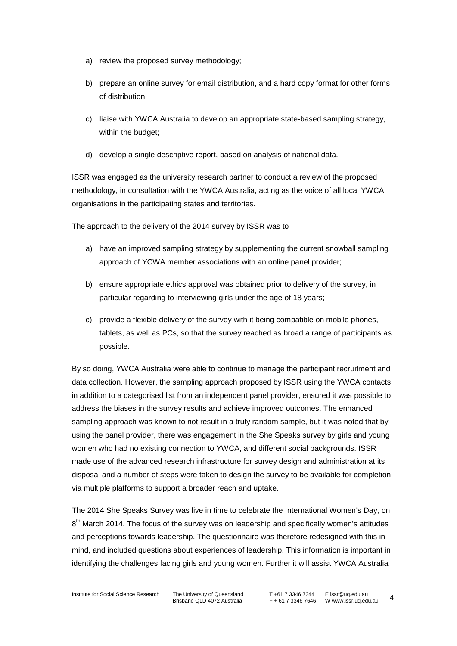- a) review the proposed survey methodology;
- b) prepare an online survey for email distribution, and a hard copy format for other forms of distribution;
- c) liaise with YWCA Australia to develop an appropriate state-based sampling strategy, within the budget;
- d) develop a single descriptive report, based on analysis of national data.

ISSR was engaged as the university research partner to conduct a review of the proposed methodology, in consultation with the YWCA Australia, acting as the voice of all local YWCA organisations in the participating states and territories.

The approach to the delivery of the 2014 survey by ISSR was to

- a) have an improved sampling strategy by supplementing the current snowball sampling approach of YCWA member associations with an online panel provider;
- b) ensure appropriate ethics approval was obtained prior to delivery of the survey, in particular regarding to interviewing girls under the age of 18 years;
- c) provide a flexible delivery of the survey with it being compatible on mobile phones, tablets, as well as PCs, so that the survey reached as broad a range of participants as possible.

By so doing, YWCA Australia were able to continue to manage the participant recruitment and data collection. However, the sampling approach proposed by ISSR using the YWCA contacts, in addition to a categorised list from an independent panel provider, ensured it was possible to address the biases in the survey results and achieve improved outcomes. The enhanced sampling approach was known to not result in a truly random sample, but it was noted that by using the panel provider, there was engagement in the She Speaks survey by girls and young women who had no existing connection to YWCA, and different social backgrounds. ISSR made use of the advanced research infrastructure for survey design and administration at its disposal and a number of steps were taken to design the survey to be available for completion via multiple platforms to support a broader reach and uptake.

The 2014 She Speaks Survey was live in time to celebrate the International Women's Day, on  $8<sup>th</sup>$  March 2014. The focus of the survey was on leadership and specifically women's attitudes and perceptions towards leadership. The questionnaire was therefore redesigned with this in mind, and included questions about experiences of leadership. This information is important in identifying the challenges facing girls and young women. Further it will assist YWCA Australia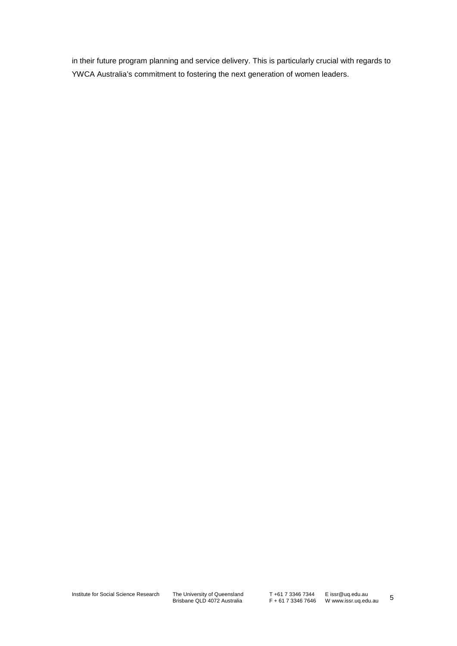in their future program planning and service delivery. This is particularly crucial with regards to YWCA Australia's commitment to fostering the next generation of women leaders.

The University of Queensland<br>Brisbane QLD 4072 Australia

T +61 7 3346 7344 F + 61 7 3346 7646 E issr@uq.edu.au W www.issr.uq.edu.au 5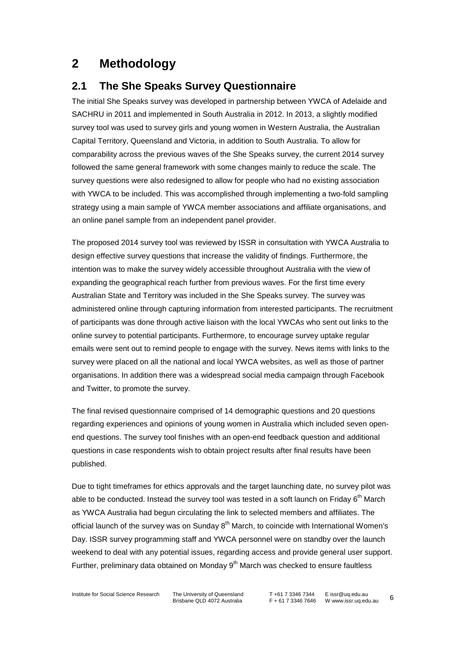# **2 Methodology**

### **2.1 The She Speaks Survey Questionnaire**

The initial She Speaks survey was developed in partnership between YWCA of Adelaide and SACHRU in 2011 and implemented in South Australia in 2012. In 2013, a slightly modified survey tool was used to survey girls and young women in Western Australia, the Australian Capital Territory, Queensland and Victoria, in addition to South Australia. To allow for comparability across the previous waves of the She Speaks survey, the current 2014 survey followed the same general framework with some changes mainly to reduce the scale. The survey questions were also redesigned to allow for people who had no existing association with YWCA to be included. This was accomplished through implementing a two-fold sampling strategy using a main sample of YWCA member associations and affiliate organisations, and an online panel sample from an independent panel provider.

The proposed 2014 survey tool was reviewed by ISSR in consultation with YWCA Australia to design effective survey questions that increase the validity of findings. Furthermore, the intention was to make the survey widely accessible throughout Australia with the view of expanding the geographical reach further from previous waves. For the first time every Australian State and Territory was included in the She Speaks survey. The survey was administered online through capturing information from interested participants. The recruitment of participants was done through active liaison with the local YWCAs who sent out links to the online survey to potential participants. Furthermore, to encourage survey uptake regular emails were sent out to remind people to engage with the survey. News items with links to the survey were placed on all the national and local YWCA websites, as well as those of partner organisations. In addition there was a widespread social media campaign through Facebook and Twitter, to promote the survey.

The final revised questionnaire comprised of 14 demographic questions and 20 questions regarding experiences and opinions of young women in Australia which included seven openend questions. The survey tool finishes with an open-end feedback question and additional questions in case respondents wish to obtain project results after final results have been published.

Due to tight timeframes for ethics approvals and the target launching date, no survey pilot was able to be conducted. Instead the survey tool was tested in a soft launch on Friday  $6<sup>th</sup>$  March as YWCA Australia had begun circulating the link to selected members and affiliates. The official launch of the survey was on Sunday  $8<sup>th</sup>$  March, to coincide with International Women's Day. ISSR survey programming staff and YWCA personnel were on standby over the launch weekend to deal with any potential issues, regarding access and provide general user support. Further, preliminary data obtained on Monday  $9<sup>th</sup>$  March was checked to ensure faultless

Institute for Social Science Research The University of Queensland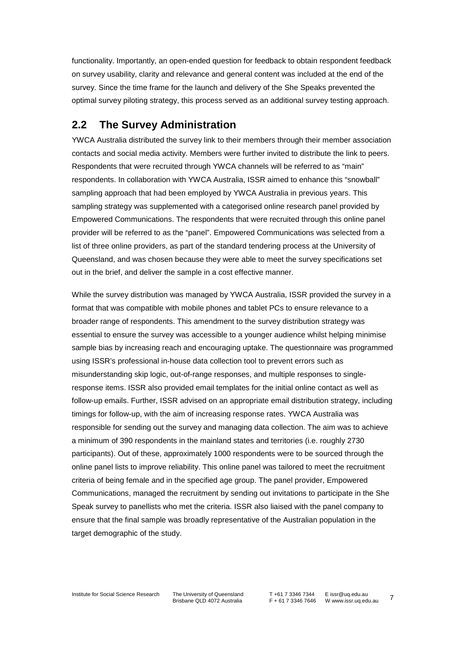functionality. Importantly, an open-ended question for feedback to obtain respondent feedback on survey usability, clarity and relevance and general content was included at the end of the survey. Since the time frame for the launch and delivery of the She Speaks prevented the optimal survey piloting strategy, this process served as an additional survey testing approach.

### **2.2 The Survey Administration**

YWCA Australia distributed the survey link to their members through their member association contacts and social media activity. Members were further invited to distribute the link to peers. Respondents that were recruited through YWCA channels will be referred to as "main" respondents. In collaboration with YWCA Australia, ISSR aimed to enhance this "snowball" sampling approach that had been employed by YWCA Australia in previous years. This sampling strategy was supplemented with a categorised online research panel provided by Empowered Communications. The respondents that were recruited through this online panel provider will be referred to as the "panel". Empowered Communications was selected from a list of three online providers, as part of the standard tendering process at the University of Queensland, and was chosen because they were able to meet the survey specifications set out in the brief, and deliver the sample in a cost effective manner.

While the survey distribution was managed by YWCA Australia, ISSR provided the survey in a format that was compatible with mobile phones and tablet PCs to ensure relevance to a broader range of respondents. This amendment to the survey distribution strategy was essential to ensure the survey was accessible to a younger audience whilst helping minimise sample bias by increasing reach and encouraging uptake. The questionnaire was programmed using ISSR's professional in-house data collection tool to prevent errors such as misunderstanding skip logic, out-of-range responses, and multiple responses to singleresponse items. ISSR also provided email templates for the initial online contact as well as follow-up emails. Further, ISSR advised on an appropriate email distribution strategy, including timings for follow-up, with the aim of increasing response rates. YWCA Australia was responsible for sending out the survey and managing data collection. The aim was to achieve a minimum of 390 respondents in the mainland states and territories (i.e. roughly 2730 participants). Out of these, approximately 1000 respondents were to be sourced through the online panel lists to improve reliability. This online panel was tailored to meet the recruitment criteria of being female and in the specified age group. The panel provider, Empowered Communications, managed the recruitment by sending out invitations to participate in the She Speak survey to panellists who met the criteria. ISSR also liaised with the panel company to ensure that the final sample was broadly representative of the Australian population in the target demographic of the study.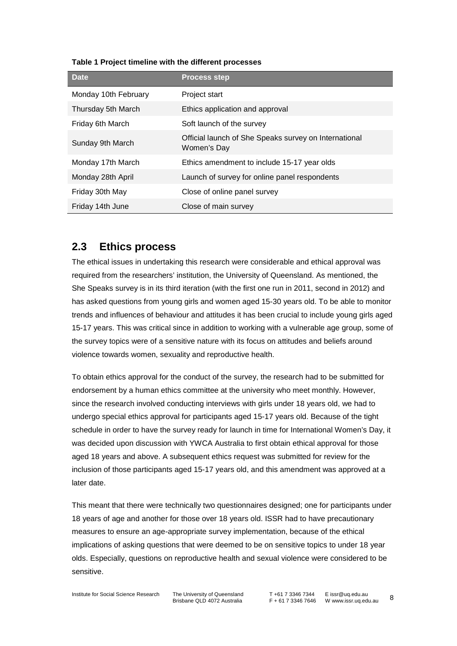| <b>Date</b>          | <b>Process step</b>                                                  |
|----------------------|----------------------------------------------------------------------|
| Monday 10th February | Project start                                                        |
| Thursday 5th March   | Ethics application and approval                                      |
| Friday 6th March     | Soft launch of the survey                                            |
| Sunday 9th March     | Official launch of She Speaks survey on International<br>Women's Day |
| Monday 17th March    | Ethics amendment to include 15-17 year olds                          |
| Monday 28th April    | Launch of survey for online panel respondents                        |
| Friday 30th May      | Close of online panel survey                                         |
| Friday 14th June     | Close of main survey                                                 |

#### **Table 1 Project timeline with the different processes**

### **2.3 Ethics process**

The ethical issues in undertaking this research were considerable and ethical approval was required from the researchers' institution, the University of Queensland. As mentioned, the She Speaks survey is in its third iteration (with the first one run in 2011, second in 2012) and has asked questions from young girls and women aged 15-30 years old. To be able to monitor trends and influences of behaviour and attitudes it has been crucial to include young girls aged 15-17 years. This was critical since in addition to working with a vulnerable age group, some of the survey topics were of a sensitive nature with its focus on attitudes and beliefs around violence towards women, sexuality and reproductive health.

To obtain ethics approval for the conduct of the survey, the research had to be submitted for endorsement by a human ethics committee at the university who meet monthly. However, since the research involved conducting interviews with girls under 18 years old, we had to undergo special ethics approval for participants aged 15-17 years old. Because of the tight schedule in order to have the survey ready for launch in time for International Women's Day, it was decided upon discussion with YWCA Australia to first obtain ethical approval for those aged 18 years and above. A subsequent ethics request was submitted for review for the inclusion of those participants aged 15-17 years old, and this amendment was approved at a later date.

This meant that there were technically two questionnaires designed; one for participants under 18 years of age and another for those over 18 years old. ISSR had to have precautionary measures to ensure an age-appropriate survey implementation, because of the ethical implications of asking questions that were deemed to be on sensitive topics to under 18 year olds. Especially, questions on reproductive health and sexual violence were considered to be sensitive.

Institute for Social Science Research The University of Queensland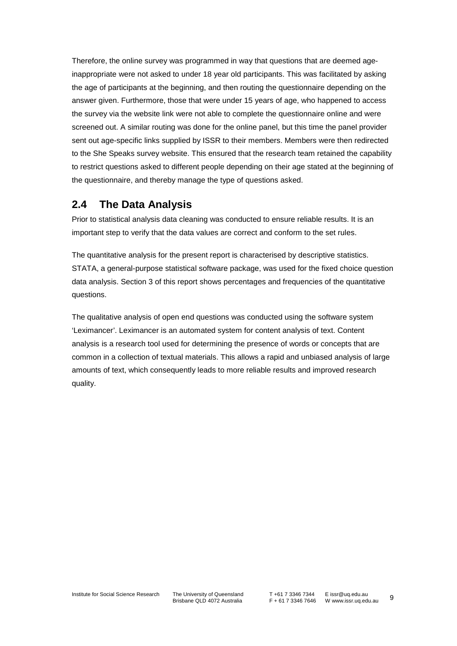Therefore, the online survey was programmed in way that questions that are deemed ageinappropriate were not asked to under 18 year old participants. This was facilitated by asking the age of participants at the beginning, and then routing the questionnaire depending on the answer given. Furthermore, those that were under 15 years of age, who happened to access the survey via the website link were not able to complete the questionnaire online and were screened out. A similar routing was done for the online panel, but this time the panel provider sent out age-specific links supplied by ISSR to their members. Members were then redirected to the She Speaks survey website. This ensured that the research team retained the capability to restrict questions asked to different people depending on their age stated at the beginning of the questionnaire, and thereby manage the type of questions asked.

### **2.4 The Data Analysis**

Prior to statistical analysis data cleaning was conducted to ensure reliable results. It is an important step to verify that the data values are correct and conform to the set rules.

The quantitative analysis for the present report is characterised by descriptive statistics. STATA, a general-purpose statistical software package, was used for the fixed choice question data analysis. Section 3 of this report shows percentages and frequencies of the quantitative questions.

The qualitative analysis of open end questions was conducted using the software system 'Leximancer'. Leximancer is an automated system for content analysis of text. Content analysis is a research tool used for determining the presence of words or concepts that are common in a collection of textual materials. This allows a rapid and unbiased analysis of large amounts of text, which consequently leads to more reliable results and improved research quality.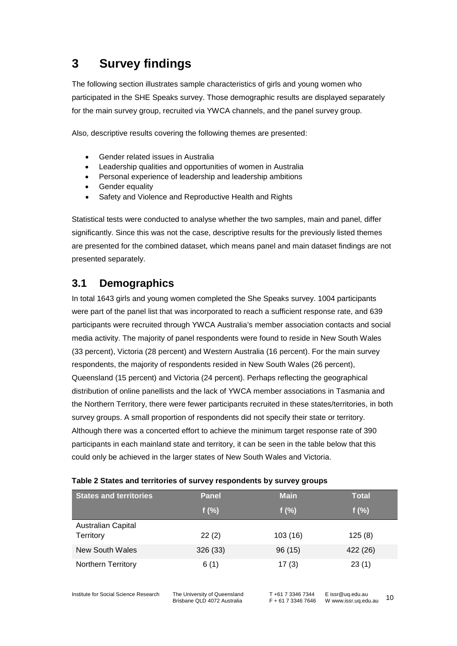# **3 Survey findings**

The following section illustrates sample characteristics of girls and young women who participated in the SHE Speaks survey. Those demographic results are displayed separately for the main survey group, recruited via YWCA channels, and the panel survey group.

Also, descriptive results covering the following themes are presented:

- Gender related issues in Australia
- Leadership qualities and opportunities of women in Australia
- Personal experience of leadership and leadership ambitions
- Gender equality
- Safety and Violence and Reproductive Health and Rights

Statistical tests were conducted to analyse whether the two samples, main and panel, differ significantly. Since this was not the case, descriptive results for the previously listed themes are presented for the combined dataset, which means panel and main dataset findings are not presented separately.

### **3.1 Demographics**

In total 1643 girls and young women completed the She Speaks survey. 1004 participants were part of the panel list that was incorporated to reach a sufficient response rate, and 639 participants were recruited through YWCA Australia's member association contacts and social media activity. The majority of panel respondents were found to reside in New South Wales (33 percent), Victoria (28 percent) and Western Australia (16 percent). For the main survey respondents, the majority of respondents resided in New South Wales (26 percent), Queensland (15 percent) and Victoria (24 percent). Perhaps reflecting the geographical distribution of online panellists and the lack of YWCA member associations in Tasmania and the Northern Territory, there were fewer participants recruited in these states/territories, in both survey groups. A small proportion of respondents did not specify their state or territory. Although there was a concerted effort to achieve the minimum target response rate of 390 participants in each mainland state and territory, it can be seen in the table below that this could only be achieved in the larger states of New South Wales and Victoria.

| <b>States and territories</b>          | <b>Panel</b> | <b>Main</b> | <b>Total</b> |
|----------------------------------------|--------------|-------------|--------------|
|                                        | f $(\%)$     | f $(\%)$    | f $(\%)$     |
| <b>Australian Capital</b><br>Territory | 22(2)        | 103(16)     | 125(8)       |
| New South Wales                        | 326 (33)     | 96(15)      | 422 (26)     |
| <b>Northern Territory</b>              | 6(1)         | 17(3)       | 23(1)        |

#### **Table 2 States and territories of survey respondents by survey groups**

Institute for Social Science Research The University of Queensland

Brisbane QLD 4072 Australia

T +61 7 3346 7344 F + 61 7 3346 7646 W www.issr.uq.edu.au 10 E issr@uq.edu.au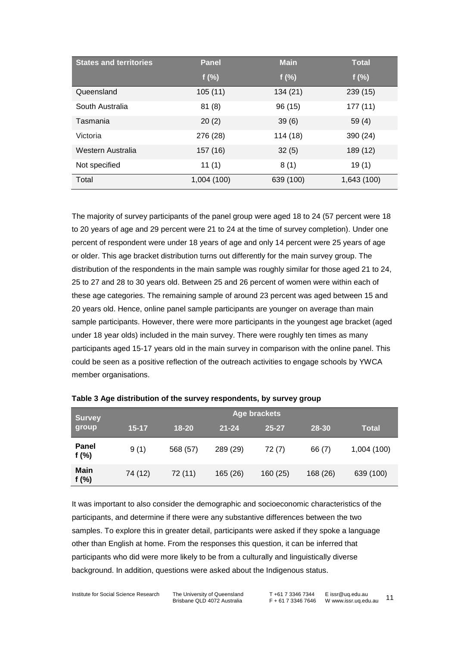| <b>States and territories</b> | <b>Panel</b> | <b>Main</b> | <b>Total</b> |
|-------------------------------|--------------|-------------|--------------|
|                               | f(%)         | f(%)        | $f(\%)$      |
| Queensland                    | 105(11)      | 134 (21)    | 239(15)      |
| South Australia               | 81(8)        | 96 (15)     | 177(11)      |
| Tasmania                      | 20(2)        | 39(6)       | 59(4)        |
| Victoria                      | 276 (28)     | 114 (18)    | 390 (24)     |
| Western Australia             | 157 (16)     | 32(5)       | 189 (12)     |
| Not specified                 | 11(1)        | 8(1)        | 19(1)        |
| Total                         | 1,004 (100)  | 639 (100)   | 1,643 (100)  |

The majority of survey participants of the panel group were aged 18 to 24 (57 percent were 18 to 20 years of age and 29 percent were 21 to 24 at the time of survey completion). Under one percent of respondent were under 18 years of age and only 14 percent were 25 years of age or older. This age bracket distribution turns out differently for the main survey group. The distribution of the respondents in the main sample was roughly similar for those aged 21 to 24, 25 to 27 and 28 to 30 years old. Between 25 and 26 percent of women were within each of these age categories. The remaining sample of around 23 percent was aged between 15 and 20 years old. Hence, online panel sample participants are younger on average than main sample participants. However, there were more participants in the youngest age bracket (aged under 18 year olds) included in the main survey. There were roughly ten times as many participants aged 15-17 years old in the main survey in comparison with the online panel. This could be seen as a positive reflection of the outreach activities to engage schools by YWCA member organisations.

| <b>Survey</b>          |           | Age brackets |           |           |          |              |  |
|------------------------|-----------|--------------|-----------|-----------|----------|--------------|--|
| group                  | $15 - 17$ | $18 - 20$    | $21 - 24$ | $25 - 27$ | 28-30    | <b>Total</b> |  |
| Panel<br>f $(%)$       | 9(1)      | 568 (57)     | 289 (29)  | 72 (7)    | 66 (7)   | 1,004 (100)  |  |
| <b>Main</b><br>f $(%)$ | 74 (12)   | 72 (11)      | 165 (26)  | 160(25)   | 168 (26) | 639 (100)    |  |

| Table 3 Age distribution of the survey respondents, by survey group |  |  |  |  |
|---------------------------------------------------------------------|--|--|--|--|
|---------------------------------------------------------------------|--|--|--|--|

It was important to also consider the demographic and socioeconomic characteristics of the participants, and determine if there were any substantive differences between the two samples. To explore this in greater detail, participants were asked if they spoke a language other than English at home. From the responses this question, it can be inferred that participants who did were more likely to be from a culturally and linguistically diverse background. In addition, questions were asked about the Indigenous status.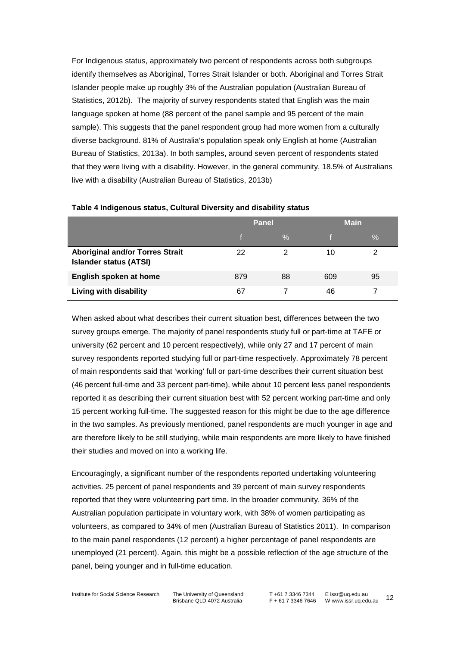For Indigenous status, approximately two percent of respondents across both subgroups identify themselves as Aboriginal, Torres Strait Islander or both. Aboriginal and Torres Strait Islander people make up roughly 3% of the Australian population (Australian Bureau of Statistics, 2012b). The majority of survey respondents stated that English was the main language spoken at home (88 percent of the panel sample and 95 percent of the main sample). This suggests that the panel respondent group had more women from a culturally diverse background. 81% of Australia's population speak only English at home (Australian Bureau of Statistics, 2013a). In both samples, around seven percent of respondents stated that they were living with a disability. However, in the general community, 18.5% of Australians live with a disability (Australian Bureau of Statistics, 2013b)

|                                                                         | <b>Panel</b> |               | <b>Main</b> |    |
|-------------------------------------------------------------------------|--------------|---------------|-------------|----|
|                                                                         |              | $\frac{0}{0}$ |             | ℅  |
| <b>Aboriginal and/or Torres Strait</b><br><b>Islander status (ATSI)</b> | 22           | າ             | 10          | ◠  |
| English spoken at home                                                  | 879          | 88            | 609         | 95 |
| Living with disability                                                  | 67           |               | 46          |    |

#### **Table 4 Indigenous status, Cultural Diversity and disability status**

When asked about what describes their current situation best, differences between the two survey groups emerge. The majority of panel respondents study full or part-time at TAFE or university (62 percent and 10 percent respectively), while only 27 and 17 percent of main survey respondents reported studying full or part-time respectively. Approximately 78 percent of main respondents said that 'working' full or part-time describes their current situation best (46 percent full-time and 33 percent part-time), while about 10 percent less panel respondents reported it as describing their current situation best with 52 percent working part-time and only 15 percent working full-time. The suggested reason for this might be due to the age difference in the two samples. As previously mentioned, panel respondents are much younger in age and are therefore likely to be still studying, while main respondents are more likely to have finished their studies and moved on into a working life.

Encouragingly, a significant number of the respondents reported undertaking volunteering activities. 25 percent of panel respondents and 39 percent of main survey respondents reported that they were volunteering part time. In the broader community, 36% of the Australian population participate in voluntary work, with 38% of women participating as volunteers, as compared to 34% of men (Australian Bureau of Statistics 2011). In comparison to the main panel respondents (12 percent) a higher percentage of panel respondents are unemployed (21 percent). Again, this might be a possible reflection of the age structure of the panel, being younger and in full-time education.

Institute for Social Science Research The University of Queensland Brisbane QLD 4072 Australia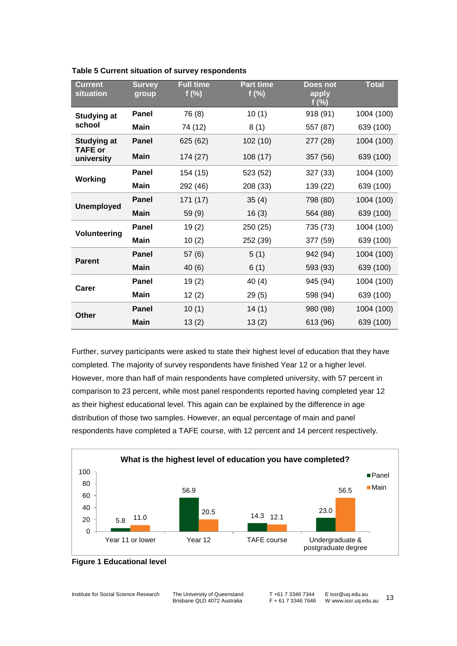| <b>Current</b><br>situation          | <b>Survey</b><br>group | <b>Full time</b><br>f(%) | <b>Part time</b><br>$f(\%)$ | Does not<br>apply<br>f $(\%)$ | <b>Total</b> |
|--------------------------------------|------------------------|--------------------------|-----------------------------|-------------------------------|--------------|
| <b>Studying at</b>                   | <b>Panel</b>           | 76 (8)                   | 10(1)                       | 918 (91)                      | 1004 (100)   |
| school                               | <b>Main</b>            | 74 (12)                  | 8(1)                        | 557 (87)                      | 639 (100)    |
| <b>Studying at</b><br><b>TAFE</b> or | <b>Panel</b>           | 625 (62)                 | 102(10)                     | 277 (28)                      | 1004 (100)   |
| university                           | <b>Main</b>            | 174 (27)                 | 108(17)                     | 357 (56)                      | 639 (100)    |
|                                      | <b>Panel</b>           | 154 (15)                 | 523 (52)                    | 327 (33)                      | 1004 (100)   |
| Working                              | <b>Main</b>            | 292 (46)                 | 208 (33)                    | 139 (22)                      | 639 (100)    |
| <b>Unemployed</b>                    | <b>Panel</b>           | 171 (17)                 | 35(4)                       | 798 (80)                      | 1004 (100)   |
|                                      | <b>Main</b>            | 59(9)                    | 16(3)                       | 564 (88)                      | 639 (100)    |
|                                      | Panel                  | 19(2)                    | 250 (25)                    | 735 (73)                      | 1004 (100)   |
| Volunteering                         | <b>Main</b>            | 10(2)                    | 252 (39)                    | 377 (59)                      | 639 (100)    |
| <b>Parent</b>                        | <b>Panel</b>           | 57(6)                    | 5(1)                        | 942 (94)                      | 1004 (100)   |
|                                      | <b>Main</b>            | 40(6)                    | 6(1)                        | 593 (93)                      | 639 (100)    |
| Carer                                | Panel                  | 19(2)                    | 40 (4)                      | 945 (94)                      | 1004 (100)   |
|                                      | <b>Main</b>            | 12(2)                    | 29(5)                       | 598 (94)                      | 639 (100)    |
| <b>Other</b>                         | <b>Panel</b>           | 10(1)                    | 14(1)                       | 980 (98)                      | 1004 (100)   |
|                                      | <b>Main</b>            | 13(2)                    | 13(2)                       | 613 (96)                      | 639 (100)    |

**Table 5 Current situation of survey respondents**

Further, survey participants were asked to state their highest level of education that they have completed. The majority of survey respondents have finished Year 12 or a higher level. However, more than half of main respondents have completed university, with 57 percent in comparison to 23 percent, while most panel respondents reported having completed year 12 as their highest educational level. This again can be explained by the difference in age distribution of those two samples. However, an equal percentage of main and panel respondents have completed a TAFE course, with 12 percent and 14 percent respectively.



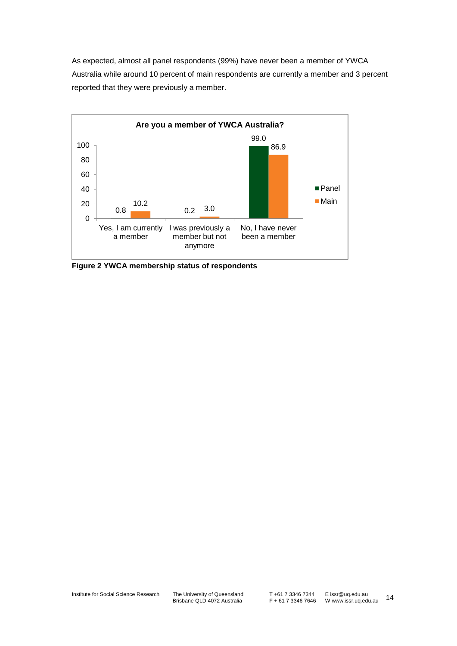As expected, almost all panel respondents (99%) have never been a member of YWCA Australia while around 10 percent of main respondents are currently a member and 3 percent reported that they were previously a member.



**Figure 2 YWCA membership status of respondents**

The University of Queensland<br>Brisbane QLD 4072 Australia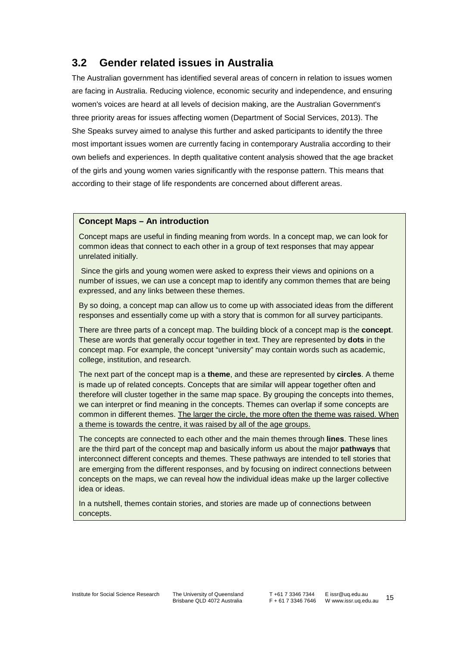### <span id="page-20-0"></span>**3.2 Gender related issues in Australia**

The Australian government has identified several areas of concern in relation to issues women are facing in Australia. Reducing violence, economic security and independence, and ensuring women's voices are heard at all levels of decision making, are the Australian Government's three priority areas for issues affecting women [\(Department of Social Services, 2013\)](#page-44-0). The She Speaks survey aimed to analyse this further and asked participants to identify the three most important issues women are currently facing in contemporary Australia according to their own beliefs and experiences. In depth qualitative content analysis showed that the age bracket of the girls and young women varies significantly with the response pattern. This means that according to their stage of life respondents are concerned about different areas.

#### **Concept Maps – An introduction**

Concept maps are useful in finding meaning from words. In a concept map, we can look for common ideas that connect to each other in a group of text responses that may appear unrelated initially.

Since the girls and young women were asked to express their views and opinions on a number of issues, we can use a concept map to identify any common themes that are being expressed, and any links between these themes.

By so doing, a concept map can allow us to come up with associated ideas from the different responses and essentially come up with a story that is common for all survey participants.

There are three parts of a concept map. The building block of a concept map is the **concept**. These are words that generally occur together in text. They are represented by **dots** in the concept map. For example, the concept "university" may contain words such as academic, college, institution, and research.

The next part of the concept map is a **theme**, and these are represented by **circles**. A theme is made up of related concepts. Concepts that are similar will appear together often and therefore will cluster together in the same map space. By grouping the concepts into themes, we can interpret or find meaning in the concepts. Themes can overlap if some concepts are common in different themes. The larger the circle, the more often the theme was raised. When a theme is towards the centre, it was raised by all of the age groups.

The concepts are connected to each other and the main themes through **lines**. These lines are the third part of the concept map and basically inform us about the major **pathways** that interconnect different concepts and themes. These pathways are intended to tell stories that are emerging from the different responses, and by focusing on indirect connections between concepts on the maps, we can reveal how the individual ideas make up the larger collective idea or ideas.

In a nutshell, themes contain stories, and stories are made up of connections between concepts.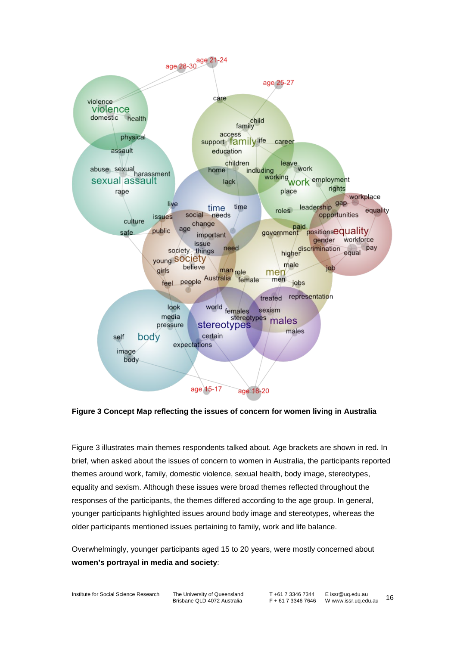

<span id="page-21-0"></span>**Figure 3 Concept Map reflecting the issues of concern for women living in Australia**

[Figure 3](#page-21-0) illustrates main themes respondents talked about. Age brackets are shown in red. In brief, when asked about the issues of concern to women in Australia, the participants reported themes around work, family, domestic violence, sexual health, body image, stereotypes, equality and sexism. Although these issues were broad themes reflected throughout the responses of the participants, the themes differed according to the age group. In general, younger participants highlighted issues around body image and stereotypes, whereas the older participants mentioned issues pertaining to family, work and life balance.

Overwhelmingly, younger participants aged 15 to 20 years, were mostly concerned about **women's portrayal in media and society**: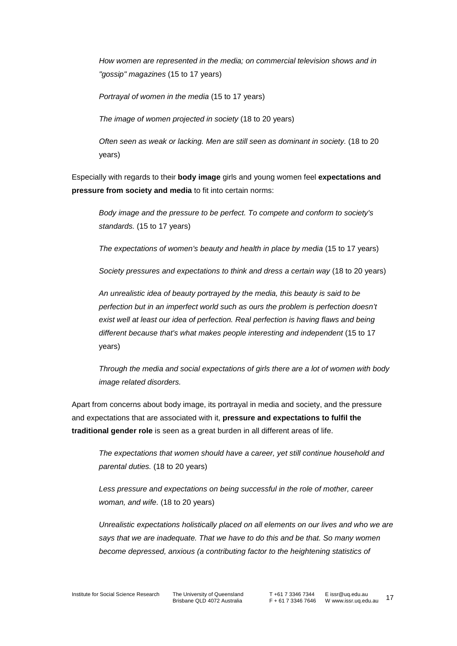*How women are represented in the media; on commercial television shows and in "gossip" magazines* (15 to 17 years)

*Portrayal of women in the media* (15 to 17 years)

*The image of women projected in society* (18 to 20 years)

*Often seen as weak or lacking. Men are still seen as dominant in society.* (18 to 20 years)

Especially with regards to their **body image** girls and young women feel **expectations and pressure from society and media** to fit into certain norms:

*Body image and the pressure to be perfect. To compete and conform to society's standards.* (15 to 17 years)

*The expectations of women's beauty and health in place by media* (15 to 17 years)

*Society pressures and expectations to think and dress a certain way* (18 to 20 years)

*An unrealistic idea of beauty portrayed by the media, this beauty is said to be perfection but in an imperfect world such as ours the problem is perfection doesn't exist well at least our idea of perfection. Real perfection is having flaws and being different because that's what makes people interesting and independent* (15 to 17 years)

*Through the media and social expectations of girls there are a lot of women with body image related disorders.*

Apart from concerns about body image, its portrayal in media and society, and the pressure and expectations that are associated with it, **pressure and expectations to fulfil the traditional gender role** is seen as a great burden in all different areas of life.

*The expectations that women should have a career, yet still continue household and parental duties.* (18 to 20 years)

*Less pressure and expectations on being successful in the role of mother, career woman, and wife.* (18 to 20 years)

*Unrealistic expectations holistically placed on all elements on our lives and who we are says that we are inadequate. That we have to do this and be that. So many women become depressed, anxious (a contributing factor to the heightening statistics of*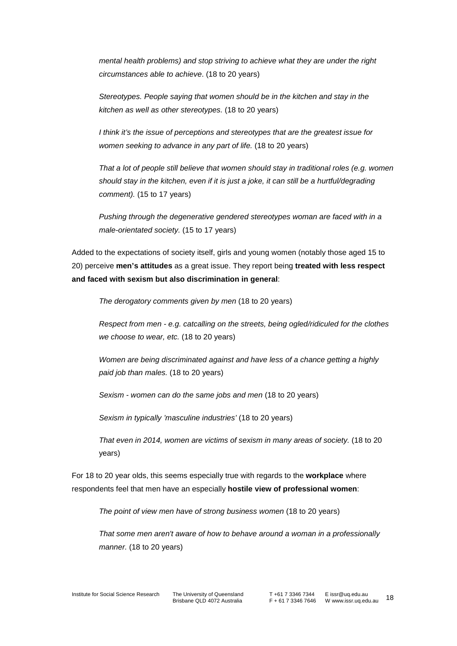*mental health problems) and stop striving to achieve what they are under the right circumstances able to achieve*. (18 to 20 years)

*Stereotypes. People saying that women should be in the kitchen and stay in the kitchen as well as other stereotypes.* (18 to 20 years)

*I think it's the issue of perceptions and stereotypes that are the greatest issue for women seeking to advance in any part of life.* (18 to 20 years)

*That a lot of people still believe that women should stay in traditional roles (e.g. women should stay in the kitchen, even if it is just a joke, it can still be a hurtful/degrading comment).* (15 to 17 years)

*Pushing through the degenerative gendered stereotypes woman are faced with in a male-orientated society.* (15 to 17 years)

Added to the expectations of society itself, girls and young women (notably those aged 15 to 20) perceive **men's attitudes** as a great issue. They report being **treated with less respect and faced with sexism but also discrimination in general**:

*The derogatory comments given by men* (18 to 20 years)

*Respect from men - e.g. catcalling on the streets, being ogled/ridiculed for the clothes we choose to wear, etc.* (18 to 20 years)

*Women are being discriminated against and have less of a chance getting a highly paid job than males.* (18 to 20 years)

*Sexism - women can do the same jobs and men* (18 to 20 years)

*Sexism in typically 'masculine industries'* (18 to 20 years)

*That even in 2014, women are victims of sexism in many areas of society.* (18 to 20 years)

For 18 to 20 year olds, this seems especially true with regards to the **workplace** where respondents feel that men have an especially **hostile view of professional women**:

*The point of view men have of strong business women* (18 to 20 years)

*That some men aren't aware of how to behave around a woman in a professionally manner.* (18 to 20 years)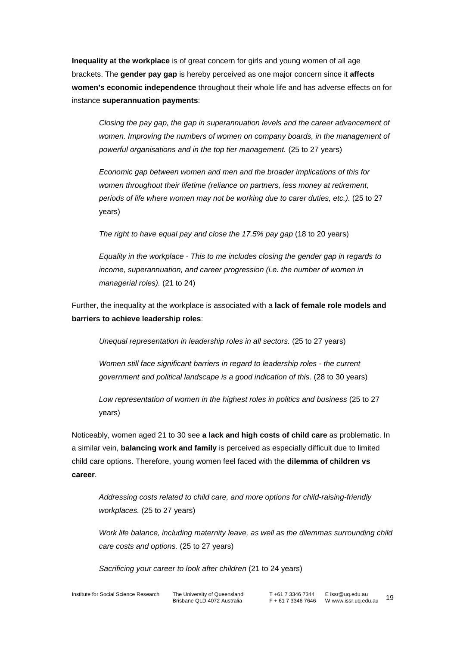**Inequality at the workplace** is of great concern for girls and young women of all age brackets. The **gender pay gap** is hereby perceived as one major concern since it **affects women's economic independence** throughout their whole life and has adverse effects on for instance **superannuation payments**:

*Closing the pay gap, the gap in superannuation levels and the career advancement of women. Improving the numbers of women on company boards, in the management of powerful organisations and in the top tier management.* (25 to 27 years)

*Economic gap between women and men and the broader implications of this for women throughout their lifetime (reliance on partners, less money at retirement, periods of life where women may not be working due to carer duties, etc.).* (25 to 27 years)

*The right to have equal pay and close the 17.5% pay gap* (18 to 20 years)

*Equality in the workplace - This to me includes closing the gender gap in regards to income, superannuation, and career progression (i.e. the number of women in managerial roles).* (21 to 24)

Further, the inequality at the workplace is associated with a **lack of female role models and barriers to achieve leadership roles**:

*Unequal representation in leadership roles in all sectors.* (25 to 27 years)

*Women still face significant barriers in regard to leadership roles - the current government and political landscape is a good indication of this.* (28 to 30 years)

*Low representation of women in the highest roles in politics and business* (25 to 27 years)

Noticeably, women aged 21 to 30 see **a lack and high costs of child care** as problematic. In a similar vein, **balancing work and family** is perceived as especially difficult due to limited child care options. Therefore, young women feel faced with the **dilemma of children vs career**.

*Addressing costs related to child care, and more options for child-raising-friendly workplaces.* (25 to 27 years)

*Work life balance, including maternity leave, as well as the dilemmas surrounding child care costs and options.* (25 to 27 years)

*Sacrificing your career to look after children* (21 to 24 years)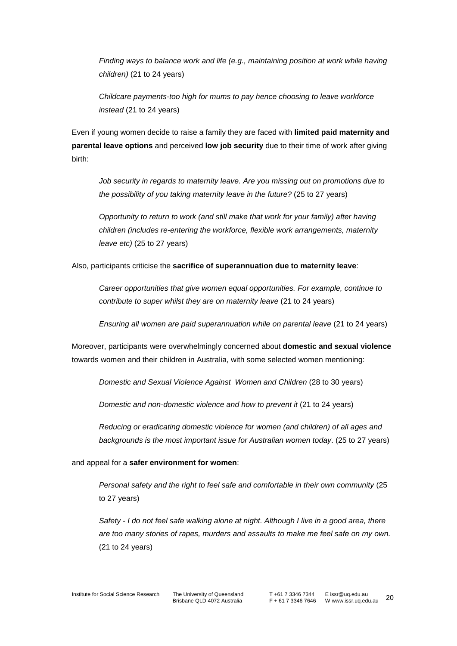*Finding ways to balance work and life (e.g., maintaining position at work while having children)* (21 to 24 years)

*Childcare payments-too high for mums to pay hence choosing to leave workforce instead* (21 to 24 years)

Even if young women decide to raise a family they are faced with **limited paid maternity and parental leave options** and perceived **low job security** due to their time of work after giving birth:

*Job security in regards to maternity leave. Are you missing out on promotions due to the possibility of you taking maternity leave in the future?* (25 to 27 years)

*Opportunity to return to work (and still make that work for your family) after having children (includes re-entering the workforce, flexible work arrangements, maternity leave etc)* (25 to 27 years)

Also, participants criticise the **sacrifice of superannuation due to maternity leave**:

*Career opportunities that give women equal opportunities. For example, continue to contribute to super whilst they are on maternity leave* (21 to 24 years)

*Ensuring all women are paid superannuation while on parental leave* (21 to 24 years)

Moreover, participants were overwhelmingly concerned about **domestic and sexual violence** towards women and their children in Australia, with some selected women mentioning:

*Domestic and Sexual Violence Against Women and Children* (28 to 30 years)

*Domestic and non-domestic violence and how to prevent it* (21 to 24 years)

*Reducing or eradicating domestic violence for women (and children) of all ages and backgrounds is the most important issue for Australian women today*. (25 to 27 years)

and appeal for a **safer environment for women**:

*Personal safety and the right to feel safe and comfortable in their own community* (25 to 27 years)

*Safety - I do not feel safe walking alone at night. Although I live in a good area, there are too many stories of rapes, murders and assaults to make me feel safe on my own.* (21 to 24 years)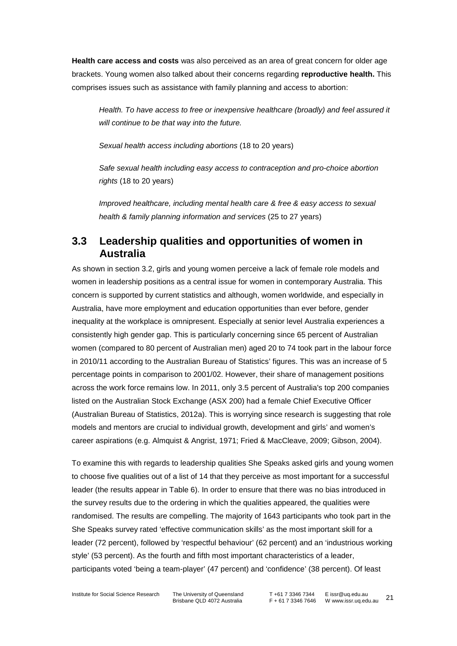**Health care access and costs** was also perceived as an area of great concern for older age brackets. Young women also talked about their concerns regarding **reproductive health.** This comprises issues such as assistance with family planning and access to abortion:

*Health. To have access to free or inexpensive healthcare (broadly) and feel assured it will continue to be that way into the future.*

*Sexual health access including abortions* (18 to 20 years)

*Safe sexual health including easy access to contraception and pro-choice abortion rights* (18 to 20 years)

*Improved healthcare, including mental health care & free & easy access to sexual health & family planning information and services* (25 to 27 years)

### **3.3 Leadership qualities and opportunities of women in Australia**

As shown in section 3.2, girls and young women perceive a lack of female role models and women in leadership positions as a central issue for women in contemporary Australia. This concern is supported by current statistics and although, women worldwide, and especially in Australia, have more employment and education opportunities than ever before, gender inequality at the workplace is omnipresent. Especially at senior level Australia experiences a consistently high gender gap. This is particularly concerning since 65 percent of Australian women (compared to 80 percent of Australian men) aged 20 to 74 took part in the labour force in 2010/11 according to the Australian Bureau of Statistics' figures. This was an increase of 5 percentage points in comparison to 2001/02. However, their share of management positions across the work force remains low. In 2011, only 3.5 percent of Australia's top 200 companies listed on the Australian Stock Exchange (ASX 200) had a female Chief Executive Officer [\(Australian Bureau of Statistics, 2012a](#page-44-1)). This is worrying since research is suggesting that role models and mentors are crucial to individual growth, development and girls' and women's career aspirations (e.g. [Almquist & Angrist, 1971;](#page-44-2) [Fried & MacCleave, 2009;](#page-44-3) [Gibson, 2004\)](#page-44-4).

To examine this with regards to leadership qualities She Speaks asked girls and young women to choose five qualities out of a list of 14 that they perceive as most important for a successful leader (the results appear in [Table 6\)](#page-27-0). In order to ensure that there was no bias introduced in the survey results due to the ordering in which the qualities appeared, the qualities were randomised. The results are compelling. The majority of 1643 participants who took part in the She Speaks survey rated 'effective communication skills' as the most important skill for a leader (72 percent), followed by 'respectful behaviour' (62 percent) and an 'industrious working style' (53 percent). As the fourth and fifth most important characteristics of a leader, participants voted 'being a team-player' (47 percent) and 'confidence' (38 percent). Of least

Institute for Social Science Research The University of Queensland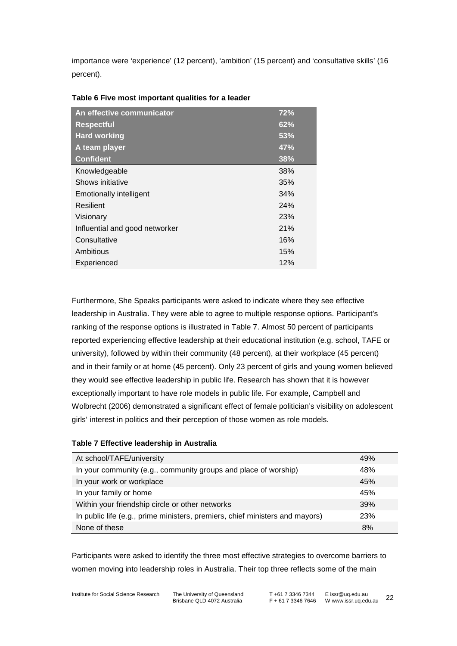importance were 'experience' (12 percent), 'ambition' (15 percent) and 'consultative skills' (16 percent).

| An effective communicator      | 72% |
|--------------------------------|-----|
| <b>Respectful</b>              | 62% |
| <b>Hard working</b>            | 53% |
| A team player                  | 47% |
| <b>Confident</b>               | 38% |
| Knowledgeable                  | 38% |
| Shows initiative               | 35% |
| <b>Emotionally intelligent</b> | 34% |
| Resilient                      | 24% |
| Visionary                      | 23% |
| Influential and good networker | 21% |
| Consultative                   | 16% |
| Ambitious                      | 15% |
| Experienced                    | 12% |

#### <span id="page-27-0"></span>**Table 6 Five most important qualities for a leader**

Furthermore, She Speaks participants were asked to indicate where they see effective leadership in Australia. They were able to agree to multiple response options. Participant's ranking of the response options is illustrated in [Table 7.](#page-27-1) Almost 50 percent of participants reported experiencing effective leadership at their educational institution (e.g. school, TAFE or university), followed by within their community (48 percent), at their workplace (45 percent) and in their family or at home (45 percent). Only 23 percent of girls and young women believed they would see effective leadership in public life. Research has shown that it is however exceptionally important to have role models in public life. For example, [Campbell and](#page-44-5)  [Wolbrecht \(2006\)](#page-44-5) demonstrated a significant effect of female politician's visibility on adolescent girls' interest in politics and their perception of those women as role models.

#### <span id="page-27-1"></span>**Table 7 Effective leadership in Australia**

| At school/TAFE/university                                                    | 49% |
|------------------------------------------------------------------------------|-----|
| In your community (e.g., community groups and place of worship)              | 48% |
| In your work or workplace                                                    | 45% |
| In your family or home                                                       | 45% |
| Within your friendship circle or other networks                              | 39% |
| In public life (e.g., prime ministers, premiers, chief ministers and mayors) | 23% |
| None of these                                                                | 8%  |

Participants were asked to identify the three most effective strategies to overcome barriers to women moving into leadership roles in Australia. Their top three reflects some of the main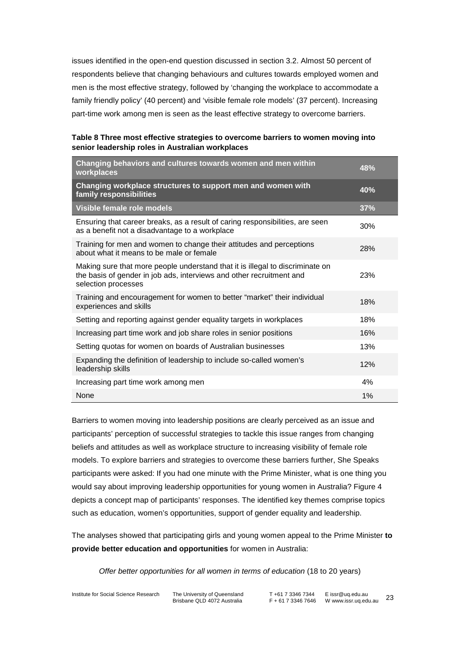issues identified in the open-end question discussed in section 3.2. Almost 50 percent of respondents believe that changing behaviours and cultures towards employed women and men is the most effective strategy, followed by 'changing the workplace to accommodate a family friendly policy' (40 percent) and 'visible female role models' (37 percent). Increasing part-time work among men is seen as the least effective strategy to overcome barriers.

**Table 8 Three most effective strategies to overcome barriers to women moving into senior leadership roles in Australian workplaces**

| Changing behaviors and cultures towards women and men within<br>workplaces                                                                                                   | 48% |
|------------------------------------------------------------------------------------------------------------------------------------------------------------------------------|-----|
| Changing workplace structures to support men and women with<br>family responsibilities                                                                                       | 40% |
| Visible female role models                                                                                                                                                   | 37% |
| Ensuring that career breaks, as a result of caring responsibilities, are seen<br>as a benefit not a disadvantage to a workplace                                              | 30% |
| Training for men and women to change their attitudes and perceptions<br>about what it means to be male or female                                                             | 28% |
| Making sure that more people understand that it is illegal to discriminate on<br>the basis of gender in job ads, interviews and other recruitment and<br>selection processes | 23% |
| Training and encouragement for women to better "market" their individual<br>experiences and skills                                                                           | 18% |
| Setting and reporting against gender equality targets in workplaces                                                                                                          | 18% |
| Increasing part time work and job share roles in senior positions                                                                                                            | 16% |
| Setting quotas for women on boards of Australian businesses                                                                                                                  | 13% |
| Expanding the definition of leadership to include so-called women's<br>leadership skills                                                                                     | 12% |
| Increasing part time work among men                                                                                                                                          | 4%  |
| None                                                                                                                                                                         | 1%  |

Barriers to women moving into leadership positions are clearly perceived as an issue and participants' perception of successful strategies to tackle this issue ranges from changing beliefs and attitudes as well as workplace structure to increasing visibility of female role models. To explore barriers and strategies to overcome these barriers further, She Speaks participants were asked: If you had one minute with the Prime Minister, what is one thing you would say about improving leadership opportunities for young women in Australia? [Figure 4](#page-30-0) depicts a concept map of participants' responses. The identified key themes comprise topics such as education, women's opportunities, support of gender equality and leadership.

The analyses showed that participating girls and young women appeal to the Prime Minister **to provide better education and opportunities** for women in Australia:

*Offer better opportunities for all women in terms of education* (18 to 20 years)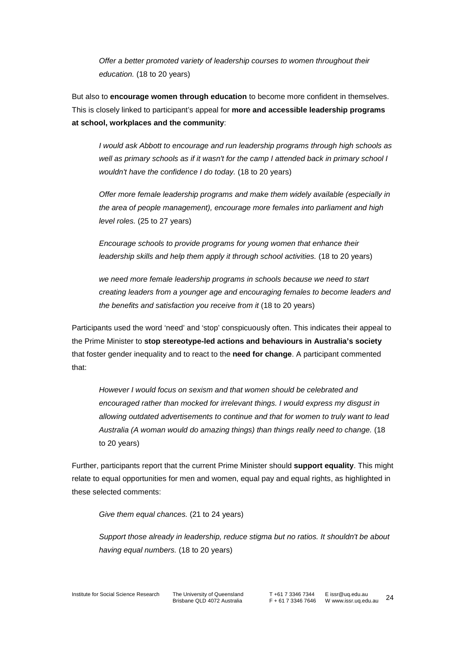*Offer a better promoted variety of leadership courses to women throughout their education.* (18 to 20 years)

But also to **encourage women through education** to become more confident in themselves. This is closely linked to participant's appeal for **more and accessible leadership programs at school, workplaces and the community**:

*I would ask Abbott to encourage and run leadership programs through high schools as well as primary schools as if it wasn't for the camp I attended back in primary school I wouldn't have the confidence I do today.* (18 to 20 years)

*Offer more female leadership programs and make them widely available (especially in the area of people management), encourage more females into parliament and high level roles.* (25 to 27 years)

*Encourage schools to provide programs for young women that enhance their leadership skills and help them apply it through school activities.* (18 to 20 years)

*we need more female leadership programs in schools because we need to start creating leaders from a younger age and encouraging females to become leaders and the benefits and satisfaction you receive from it* (18 to 20 years)

Participants used the word 'need' and 'stop' conspicuously often. This indicates their appeal to the Prime Minister to **stop stereotype-led actions and behaviours in Australia's society**  that foster gender inequality and to react to the **need for change**. A participant commented that:

*However I would focus on sexism and that women should be celebrated and encouraged rather than mocked for irrelevant things. I would express my disgust in allowing outdated advertisements to continue and that for women to truly want to lead Australia (A woman would do amazing things) than things really need to change.* (18 to 20 years)

Further, participants report that the current Prime Minister should **support equality**. This might relate to equal opportunities for men and women, equal pay and equal rights, as highlighted in these selected comments:

*Give them equal chances.* (21 to 24 years)

*Support those already in leadership, reduce stigma but no ratios. It shouldn't be about having equal numbers.* (18 to 20 years)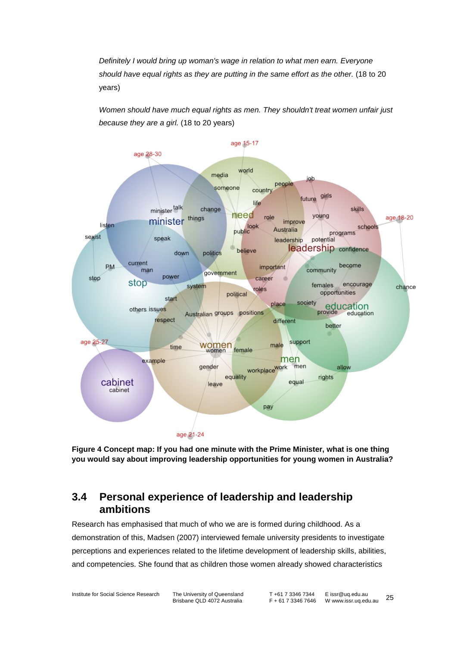*Definitely I would bring up woman's wage in relation to what men earn. Everyone should have equal rights as they are putting in the same effort as the other.* (18 to 20 years)

*Women should have much equal rights as men. They shouldn't treat women unfair just because they are a girl.* (18 to 20 years)



<span id="page-30-0"></span>**Figure 4 Concept map: If you had one minute with the Prime Minister, what is one thing you would say about improving leadership opportunities for young women in Australia?**

### **3.4 Personal experience of leadership and leadership ambitions**

Research has emphasised that much of who we are is formed during childhood. As a demonstration of this, [Madsen \(2007\)](#page-44-6) interviewed female university presidents to investigate perceptions and experiences related to the lifetime development of leadership skills, abilities, and competencies. She found that as children those women already showed characteristics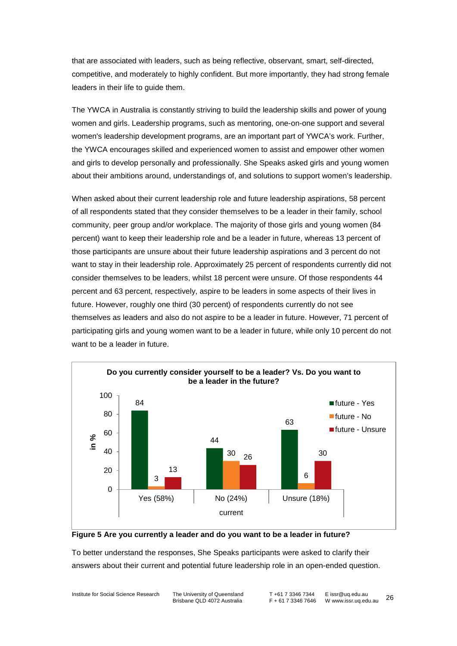that are associated with leaders, such as being reflective, observant, smart, self-directed, competitive, and moderately to highly confident. But more importantly, they had strong female leaders in their life to guide them.

The YWCA in Australia is constantly striving to build the leadership skills and power of young women and girls. Leadership programs, such as mentoring, one-on-one support and several women's leadership development programs, are an important part of YWCA's work. Further, the YWCA encourages skilled and experienced women to assist and empower other women and girls to develop personally and professionally. She Speaks asked girls and young women about their ambitions around, understandings of, and solutions to support women's leadership.

When asked about their current leadership role and future leadership aspirations, 58 percent of all respondents stated that they consider themselves to be a leader in their family, school community, peer group and/or workplace. The majority of those girls and young women (84 percent) want to keep their leadership role and be a leader in future, whereas 13 percent of those participants are unsure about their future leadership aspirations and 3 percent do not want to stay in their leadership role. Approximately 25 percent of respondents currently did not consider themselves to be leaders, whilst 18 percent were unsure. Of those respondents 44 percent and 63 percent, respectively, aspire to be leaders in some aspects of their lives in future. However, roughly one third (30 percent) of respondents currently do not see themselves as leaders and also do not aspire to be a leader in future. However, 71 percent of participating girls and young women want to be a leader in future, while only 10 percent do not want to be a leader in future.





To better understand the responses, She Speaks participants were asked to clarify their answers about their current and potential future leadership role in an open-ended question.

Institute for Social Science Research The University of Queensland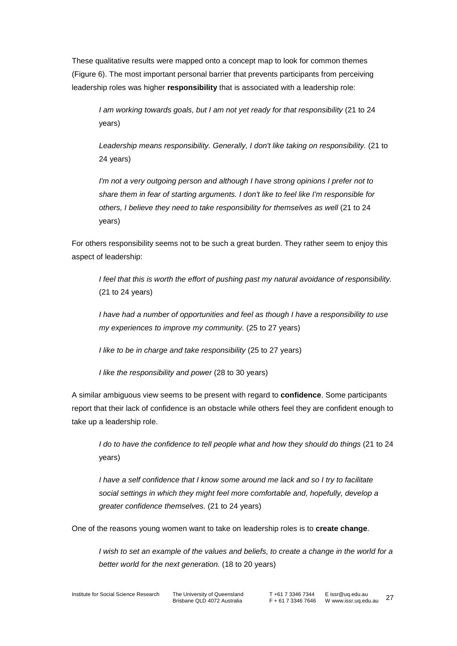These qualitative results were mapped onto a concept map to look for common themes [\(Figure 6\)](#page-33-0). The most important personal barrier that prevents participants from perceiving leadership roles was higher **responsibility** that is associated with a leadership role:

*I am working towards goals, but I am not yet ready for that responsibility* (21 to 24 years)

*Leadership means responsibility. Generally, I don't like taking on responsibility.* (21 to 24 years)

*I'm not a very outgoing person and although I have strong opinions I prefer not to share them in fear of starting arguments. I don't like to feel like I'm responsible for others, I believe they need to take responsibility for themselves as well* (21 to 24 years)

For others responsibility seems not to be such a great burden. They rather seem to enjoy this aspect of leadership:

*I feel that this is worth the effort of pushing past my natural avoidance of responsibility.*  (21 to 24 years)

*I have had a number of opportunities and feel as though I have a responsibility to use my experiences to improve my community.* (25 to 27 years)

*I like to be in charge and take responsibility* (25 to 27 years)

*I like the responsibility and power* (28 to 30 years)

A similar ambiguous view seems to be present with regard to **confidence**. Some participants report that their lack of confidence is an obstacle while others feel they are confident enough to take up a leadership role.

*I do to have the confidence to tell people what and how they should do things* (21 to 24 years)

*I have a self confidence that I know some around me lack and so I try to facilitate social settings in which they might feel more comfortable and, hopefully, develop a greater confidence themselves.* (21 to 24 years)

One of the reasons young women want to take on leadership roles is to **create change**.

*I* wish to set an example of the values and beliefs, to create a change in the world for a *better world for the next generation.* (18 to 20 years)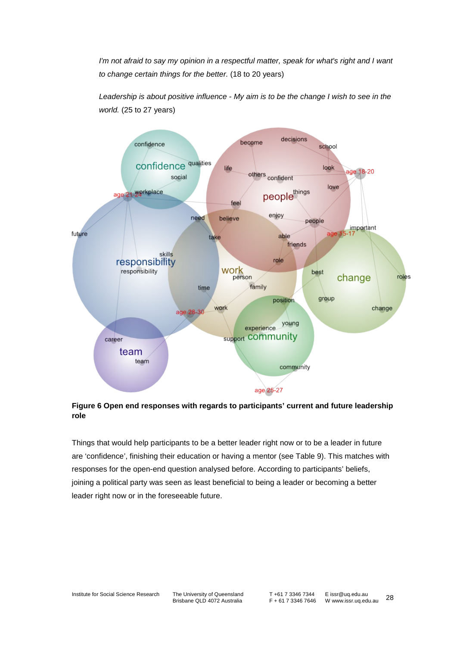*I'm not afraid to say my opinion in a respectful matter, speak for what's right and I want to change certain things for the better.* (18 to 20 years)

*Leadership is about positive influence - My aim is to be the change I wish to see in the world.* (25 to 27 years)



<span id="page-33-0"></span>**Figure 6 Open end responses with regards to participants' current and future leadership role**

Things that would help participants to be a better leader right now or to be a leader in future are 'confidence', finishing their education or having a mentor (see [Table 9\)](#page-34-0). This matches with responses for the open-end question analysed before. According to participants' beliefs, joining a political party was seen as least beneficial to being a leader or becoming a better leader right now or in the foreseeable future.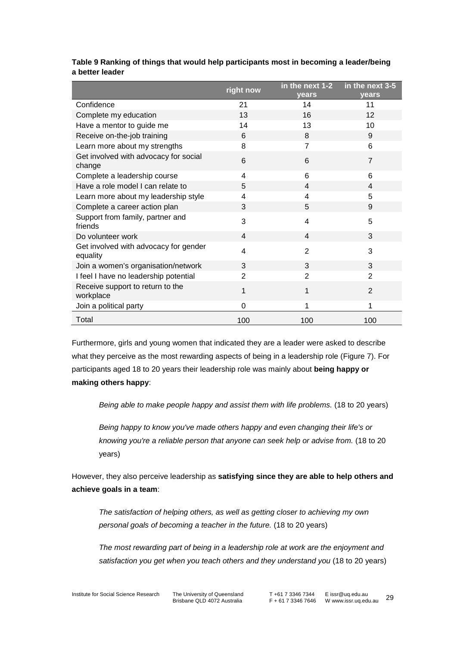|                                                   | right now | in the next 1-2<br>years | in the next $3-5$<br>years |
|---------------------------------------------------|-----------|--------------------------|----------------------------|
| Confidence                                        | 21        | 14                       | 11                         |
| Complete my education                             | 13        | 16                       | 12                         |
| Have a mentor to guide me                         | 14        | 13                       | 10                         |
| Receive on-the-job training                       | 6         | 8                        | 9                          |
| Learn more about my strengths                     | 8         | $\overline{7}$           | 6                          |
| Get involved with advocacy for social<br>change   | 6         | 6                        | $\overline{7}$             |
| Complete a leadership course                      | 4         | 6                        | 6                          |
| Have a role model I can relate to                 | 5         | 4                        | 4                          |
| Learn more about my leadership style              | 4         | 4                        | 5                          |
| Complete a career action plan                     | 3         | 5                        | 9                          |
| Support from family, partner and<br>friends       | 3         | 4                        | 5                          |
| Do volunteer work                                 | 4         | 4                        | 3                          |
| Get involved with advocacy for gender<br>equality | 4         | $\overline{2}$           | 3                          |
| Join a women's organisation/network               | 3         | 3                        | 3                          |
| I feel I have no leadership potential             | 2         | 2                        | 2                          |
| Receive support to return to the<br>workplace     | 1         | 1                        | $\overline{2}$             |
| Join a political party                            | 0         | 1                        | 1                          |
| Total                                             | 100       | 100                      | 100                        |

#### <span id="page-34-0"></span>**Table 9 Ranking of things that would help participants most in becoming a leader/being a better leader**

Furthermore, girls and young women that indicated they are a leader were asked to describe what they perceive as the most rewarding aspects of being in a leadership role [\(Figure 7\)](#page-35-0). For participants aged 18 to 20 years their leadership role was mainly about **being happy or making others happy**:

*Being able to make people happy and assist them with life problems.* (18 to 20 years)

*Being happy to know you've made others happy and even changing their life's or knowing you're a reliable person that anyone can seek help or advise from.* (18 to 20 years)

However, they also perceive leadership as **satisfying since they are able to help others and achieve goals in a team**:

*The satisfaction of helping others, as well as getting closer to achieving my own personal goals of becoming a teacher in the future.* (18 to 20 years)

*The most rewarding part of being in a leadership role at work are the enjoyment and satisfaction you get when you teach others and they understand you* (18 to 20 years)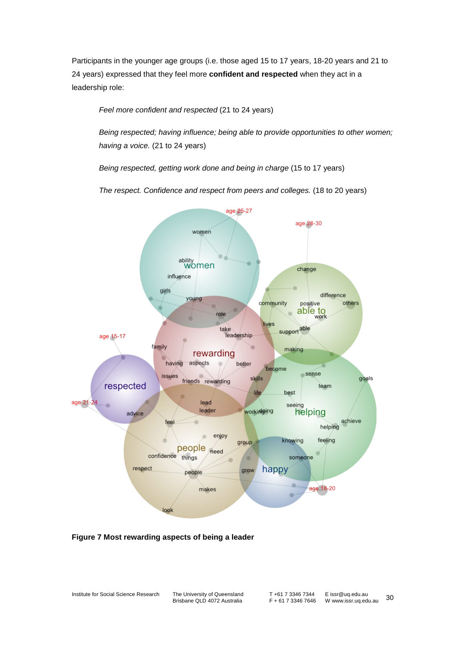Participants in the younger age groups (i.e. those aged 15 to 17 years, 18-20 years and 21 to 24 years) expressed that they feel more **confident and respected** when they act in a leadership role:

*Feel more confident and respected* (21 to 24 years)

*Being respected; having influence; being able to provide opportunities to other women; having a voice.* (21 to 24 years)

*Being respected, getting work done and being in charge* (15 to 17 years)

*The respect. Confidence and respect from peers and colleges.* (18 to 20 years)



<span id="page-35-0"></span>**Figure 7 Most rewarding aspects of being a leader**

Institute for Social Science Research The University of Queensland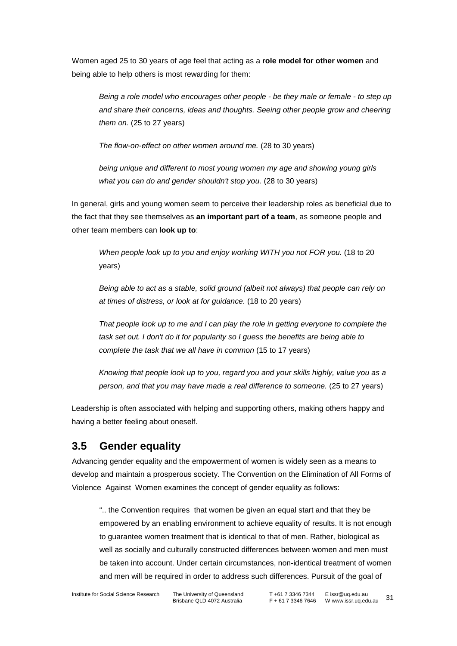Women aged 25 to 30 years of age feel that acting as a **role model for other women** and being able to help others is most rewarding for them:

*Being a role model who encourages other people - be they male or female - to step up and share their concerns, ideas and thoughts. Seeing other people grow and cheering them on.* (25 to 27 years)

*The flow-on-effect on other women around me.* (28 to 30 years)

*being unique and different to most young women my age and showing young girls what you can do and gender shouldn't stop you.* (28 to 30 years)

In general, girls and young women seem to perceive their leadership roles as beneficial due to the fact that they see themselves as **an important part of a team**, as someone people and other team members can **look up to**:

*When people look up to you and enjoy working WITH you not FOR you.* (18 to 20 years)

*Being able to act as a stable, solid ground (albeit not always) that people can rely on at times of distress, or look at for guidance.* (18 to 20 years)

*That people look up to me and I can play the role in getting everyone to complete the task set out. I don't do it for popularity so I guess the benefits are being able to complete the task that we all have in common* (15 to 17 years)

*Knowing that people look up to you, regard you and your skills highly, value you as a person, and that you may have made a real difference to someone.* (25 to 27 years)

Leadership is often associated with helping and supporting others, making others happy and having a better feeling about oneself.

### **3.5 Gender equality**

Advancing gender equality and the empowerment of women is widely seen as a means to develop and maintain a prosperous society. The Convention on the Elimination of All Forms of Violence Against Women examines the concept of gender equality as follows:

".. the Convention requires that women be given an equal start and that they be empowered by an enabling environment to achieve equality of results. It is not enough to guarantee women treatment that is identical to that of men. Rather, biological as well as socially and culturally constructed differences between women and men must be taken into account. Under certain circumstances, non-identical treatment of women and men will be required in order to address such differences. Pursuit of the goal of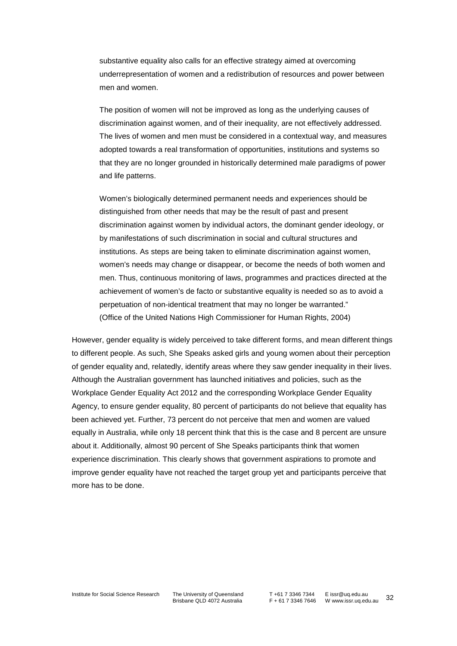substantive equality also calls for an effective strategy aimed at overcoming underrepresentation of women and a redistribution of resources and power between men and women.

The position of women will not be improved as long as the underlying causes of discrimination against women, and of their inequality, are not effectively addressed. The lives of women and men must be considered in a contextual way, and measures adopted towards a real transformation of opportunities, institutions and systems so that they are no longer grounded in historically determined male paradigms of power and life patterns.

Women's biologically determined permanent needs and experiences should be distinguished from other needs that may be the result of past and present discrimination against women by individual actors, the dominant gender ideology, or by manifestations of such discrimination in social and cultural structures and institutions. As steps are being taken to eliminate discrimination against women, women's needs may change or disappear, or become the needs of both women and men. Thus, continuous monitoring of laws, programmes and practices directed at the achievement of women's de facto or substantive equality is needed so as to avoid a perpetuation of non-identical treatment that may no longer be warranted." (Office of the United Nations High Commissioner for Human Rights, 2004)

However, gender equality is widely perceived to take different forms, and mean different things to different people. As such, She Speaks asked girls and young women about their perception of gender equality and, relatedly, identify areas where they saw gender inequality in their lives. Although the Australian government has launched initiatives and policies, such as the Workplace Gender Equality Act 2012 and the corresponding Workplace Gender Equality Agency, to ensure gender equality, 80 percent of participants do not believe that equality has been achieved yet. Further, 73 percent do not perceive that men and women are valued equally in Australia, while only 18 percent think that this is the case and 8 percent are unsure about it. Additionally, almost 90 percent of She Speaks participants think that women experience discrimination. This clearly shows that government aspirations to promote and improve gender equality have not reached the target group yet and participants perceive that more has to be done.

Institute for Social Science Research The University of Queensland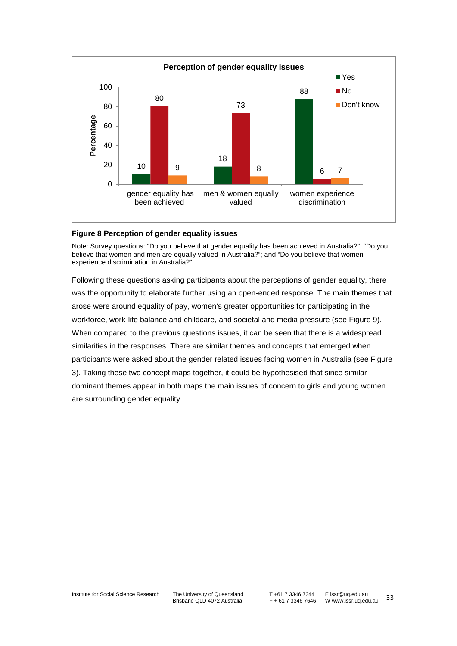

#### **Figure 8 Perception of gender equality issues**

Note: Survey questions: "Do you believe that gender equality has been achieved in Australia?"; "Do you believe that women and men are equally valued in Australia?"; and "Do you believe that women experience discrimination in Australia?"

Following these questions asking participants about the perceptions of gender equality, there was the opportunity to elaborate further using an open-ended response. The main themes that arose were around equality of pay, women's greater opportunities for participating in the workforce, work-life balance and childcare, and societal and media pressure (see [Figure 9\)](#page-39-0). When compared to the previous questions issues, it can be seen that there is a widespread similarities in the responses. There are similar themes and concepts that emerged when participants were asked about the gender related issues facing women in Australia (see [Figure](#page-21-0)  [3\)](#page-21-0). Taking these two concept maps together, it could be hypothesised that since similar dominant themes appear in both maps the main issues of concern to girls and young women are surrounding gender equality.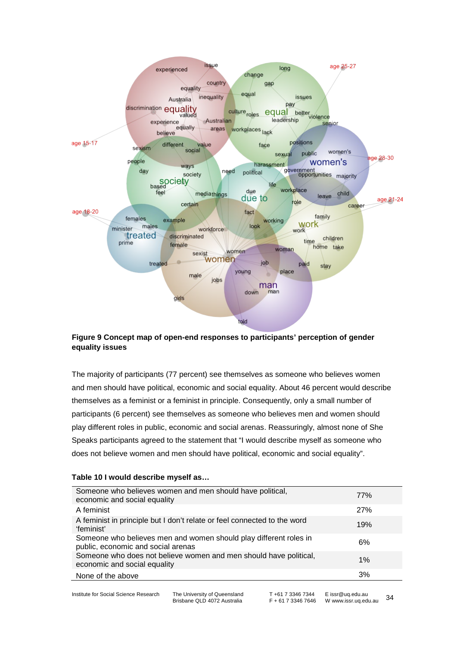

#### <span id="page-39-0"></span>**Figure 9 Concept map of open-end responses to participants' perception of gender equality issues**

The majority of participants (77 percent) see themselves as someone who believes women and men should have political, economic and social equality. About 46 percent would describe themselves as a feminist or a feminist in principle. Consequently, only a small number of participants (6 percent) see themselves as someone who believes men and women should play different roles in public, economic and social arenas. Reassuringly, almost none of She Speaks participants agreed to the statement that "I would describe myself as someone who does not believe women and men should have political, economic and social equality".

#### <span id="page-39-1"></span>**Table 10 I would describe myself as…**

| Someone who believes women and men should have political,<br>economic and social equality               | 77% |
|---------------------------------------------------------------------------------------------------------|-----|
| A feminist                                                                                              | 27% |
| A feminist in principle but I don't relate or feel connected to the word<br>'feminist'                  | 19% |
| Someone who believes men and women should play different roles in<br>public, economic and social arenas | 6%  |
| Someone who does not believe women and men should have political,<br>economic and social equality       | 1%  |
| None of the above                                                                                       | 3%  |

Institute for Social Science Research The University of Queensland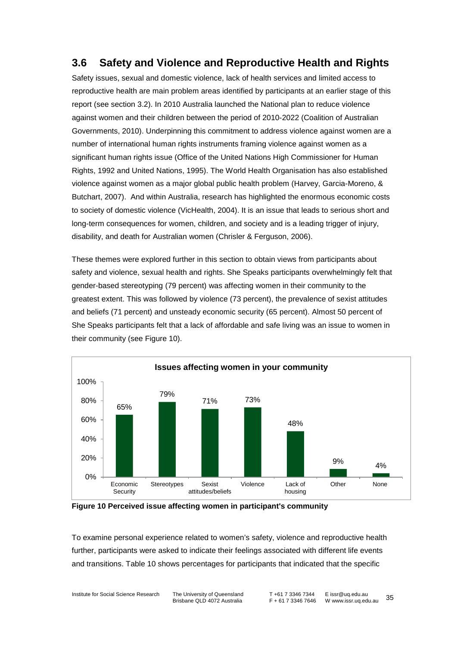### **3.6 Safety and Violence and Reproductive Health and Rights**

Safety issues, sexual and domestic violence, lack of health services and limited access to reproductive health are main problem areas identified by participants at an earlier stage of this report (see section [3.2\)](#page-20-0). In 2010 Australia launched the National plan to reduce violence against women and their children between the period of 2010-2022 [\(Coalition of Australian](#page-44-7)  [Governments, 2010\)](#page-44-7). Underpinning this commitment to address violence against women are a number of international human rights instruments framing violence against women as a significant human rights issue (Office of the United Nations High Commissioner for Human Rights, 1992 and United Nations, 1995). The World Health Organisation has also established violence against women as a major global public health problem [\(Harvey, Garcia-Moreno, &](#page-44-8)  [Butchart, 2007\)](#page-44-8). And within Australia, research has highlighted the enormous economic costs to society of domestic violence (VicHealth, 2004). It is an issue that leads to serious short and long-term consequences for women, children, and society and is a leading trigger of injury, disability, and death for Australian women [\(Chrisler & Ferguson, 2006\)](#page-44-9).

These themes were explored further in this section to obtain views from participants about safety and violence, sexual health and rights. She Speaks participants overwhelmingly felt that gender-based stereotyping (79 percent) was affecting women in their community to the greatest extent. This was followed by violence (73 percent), the prevalence of sexist attitudes and beliefs (71 percent) and unsteady economic security (65 percent). Almost 50 percent of She Speaks participants felt that a lack of affordable and safe living was an issue to women in their community (see [Figure 10\)](#page-40-0).



<span id="page-40-0"></span>**Figure 10 Perceived issue affecting women in participant's community**

To examine personal experience related to women's safety, violence and reproductive health further, participants were asked to indicate their feelings associated with different life events and transitions. [Table 10](#page-39-1) shows percentages for participants that indicated that the specific

Institute for Social Science Research The University of Queensland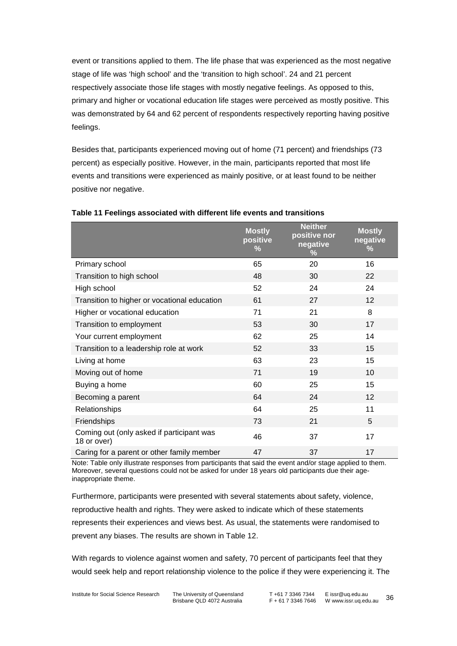event or transitions applied to them. The life phase that was experienced as the most negative stage of life was 'high school' and the 'transition to high school'. 24 and 21 percent respectively associate those life stages with mostly negative feelings. As opposed to this, primary and higher or vocational education life stages were perceived as mostly positive. This was demonstrated by 64 and 62 percent of respondents respectively reporting having positive feelings.

Besides that, participants experienced moving out of home (71 percent) and friendships (73 percent) as especially positive. However, in the main, participants reported that most life events and transitions were experienced as mainly positive, or at least found to be neither positive nor negative.

|                                                          | <b>Mostly</b><br>positive<br>$\%$ | <b>Neither</b><br>positive nor<br>negative<br>$\frac{9}{6}$ | <b>Mostly</b><br>negative<br>% |
|----------------------------------------------------------|-----------------------------------|-------------------------------------------------------------|--------------------------------|
| Primary school                                           | 65                                | 20                                                          | 16                             |
| Transition to high school                                | 48                                | 30                                                          | 22                             |
| High school                                              | 52                                | 24                                                          | 24                             |
| Transition to higher or vocational education             | 61                                | 27                                                          | 12                             |
| Higher or vocational education                           | 71                                | 21                                                          | 8                              |
| Transition to employment                                 | 53                                | 30                                                          | 17                             |
| Your current employment                                  | 62                                | 25                                                          | 14                             |
| Transition to a leadership role at work                  | 52                                | 33                                                          | 15                             |
| Living at home                                           | 63                                | 23                                                          | 15                             |
| Moving out of home                                       | 71                                | 19                                                          | 10                             |
| Buying a home                                            | 60                                | 25                                                          | 15                             |
| Becoming a parent                                        | 64                                | 24                                                          | 12                             |
| Relationships                                            | 64                                | 25                                                          | 11                             |
| Friendships                                              | 73                                | 21                                                          | 5                              |
| Coming out (only asked if participant was<br>18 or over) | 46                                | 37                                                          | 17                             |
| Caring for a parent or other family member               | 47                                | 37                                                          | 17                             |

#### **Table 11 Feelings associated with different life events and transitions**

Note: Table only illustrate responses from participants that said the event and/or stage applied to them. Moreover, several questions could not be asked for under 18 years old participants due their ageinappropriate theme.

Furthermore, participants were presented with several statements about safety, violence, reproductive health and rights. They were asked to indicate which of these statements represents their experiences and views best. As usual, the statements were randomised to prevent any biases. The results are shown in [Table 12.](#page-42-0)

With regards to violence against women and safety, 70 percent of participants feel that they would seek help and report relationship violence to the police if they were experiencing it. The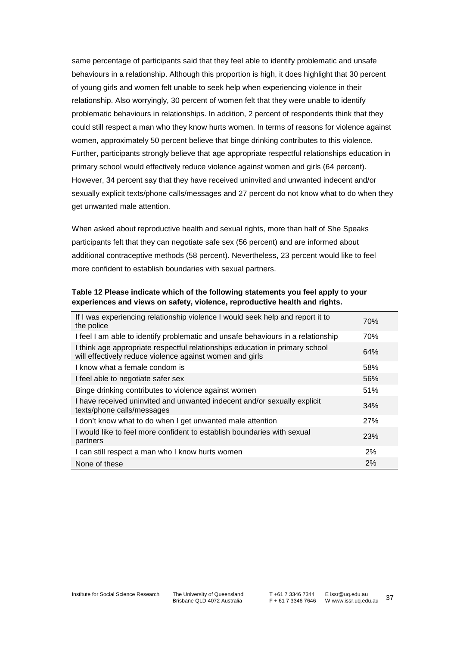same percentage of participants said that they feel able to identify problematic and unsafe behaviours in a relationship. Although this proportion is high, it does highlight that 30 percent of young girls and women felt unable to seek help when experiencing violence in their relationship. Also worryingly, 30 percent of women felt that they were unable to identify problematic behaviours in relationships. In addition, 2 percent of respondents think that they could still respect a man who they know hurts women. In terms of reasons for violence against women, approximately 50 percent believe that binge drinking contributes to this violence. Further, participants strongly believe that age appropriate respectful relationships education in primary school would effectively reduce violence against women and girls (64 percent). However, 34 percent say that they have received uninvited and unwanted indecent and/or sexually explicit texts/phone calls/messages and 27 percent do not know what to do when they get unwanted male attention.

When asked about reproductive health and sexual rights, more than half of She Speaks participants felt that they can negotiate safe sex (56 percent) and are informed about additional contraceptive methods (58 percent). Nevertheless, 23 percent would like to feel more confident to establish boundaries with sexual partners.

<span id="page-42-0"></span>**Table 12 Please indicate which of the following statements you feel apply to your experiences and views on safety, violence, reproductive health and rights.**

| If I was experiencing relationship violence I would seek help and report it to<br>the police                                             | 70% |
|------------------------------------------------------------------------------------------------------------------------------------------|-----|
| I feel I am able to identify problematic and unsafe behaviours in a relationship                                                         | 70% |
| I think age appropriate respectful relationships education in primary school<br>will effectively reduce violence against women and girls | 64% |
| I know what a female condom is                                                                                                           | 58% |
| I feel able to negotiate safer sex                                                                                                       | 56% |
| Binge drinking contributes to violence against women                                                                                     | 51% |
| I have received uninvited and unwanted indecent and/or sexually explicit<br>texts/phone calls/messages                                   | 34% |
| I don't know what to do when I get unwanted male attention                                                                               | 27% |
| I would like to feel more confident to establish boundaries with sexual<br>partners                                                      | 23% |
| I can still respect a man who I know hurts women                                                                                         | 2%  |
| None of these                                                                                                                            | 2%  |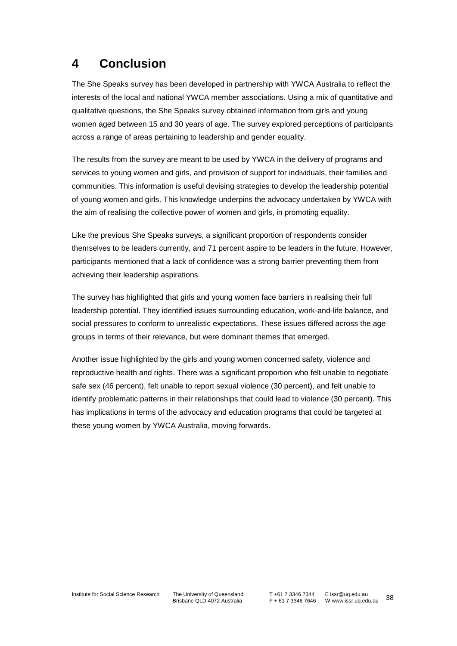# **4 Conclusion**

The She Speaks survey has been developed in partnership with YWCA Australia to reflect the interests of the local and national YWCA member associations. Using a mix of quantitative and qualitative questions, the She Speaks survey obtained information from girls and young women aged between 15 and 30 years of age. The survey explored perceptions of participants across a range of areas pertaining to leadership and gender equality.

The results from the survey are meant to be used by YWCA in the delivery of programs and services to young women and girls, and provision of support for individuals, their families and communities. This information is useful devising strategies to develop the leadership potential of young women and girls. This knowledge underpins the advocacy undertaken by YWCA with the aim of realising the collective power of women and girls, in promoting equality.

Like the previous She Speaks surveys, a significant proportion of respondents consider themselves to be leaders currently, and 71 percent aspire to be leaders in the future. However, participants mentioned that a lack of confidence was a strong barrier preventing them from achieving their leadership aspirations.

The survey has highlighted that girls and young women face barriers in realising their full leadership potential. They identified issues surrounding education, work-and-life balance, and social pressures to conform to unrealistic expectations. These issues differed across the age groups in terms of their relevance, but were dominant themes that emerged.

Another issue highlighted by the girls and young women concerned safety, violence and reproductive health and rights. There was a significant proportion who felt unable to negotiate safe sex (46 percent), felt unable to report sexual violence (30 percent), and felt unable to identify problematic patterns in their relationships that could lead to violence (30 percent). This has implications in terms of the advocacy and education programs that could be targeted at these young women by YWCA Australia, moving forwards.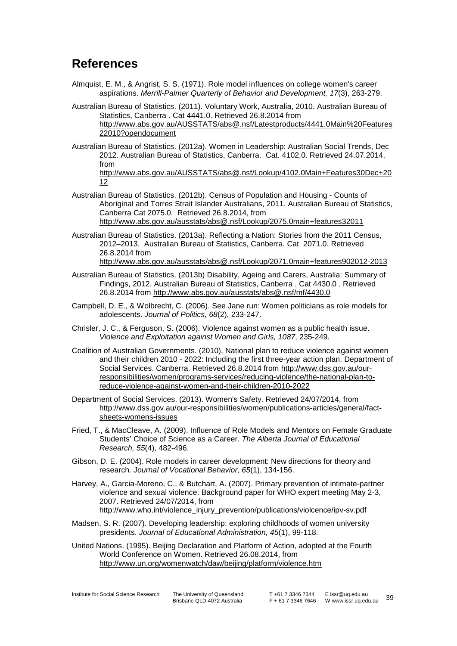## **References**

[12](http://www.abs.gov.au/AUSSTATS/abs@.nsf/Lookup/4102.0Main+Features30Dec+2012)

- <span id="page-44-2"></span>Almquist, E. M., & Angrist, S. S. (1971). Role model influences on college women's career aspirations. *Merrill-Palmer Quarterly of Behavior and Development, 17*(3), 263-279.
- Australian Bureau of Statistics. (2011). Voluntary Work, Australia, 2010. Australian Bureau of Statistics, Canberra . Cat 4441.0. Retrieved 26.8.2014 from http://www.abs.gov.au/AUSSTATS/abs@.nsf/Latestproducts/4441.0Main%20Features 22010?opendocument
- <span id="page-44-1"></span>Australian Bureau of Statistics. (2012a). Women in Leadership: Australian Social Trends, Dec 2012. Australian Bureau of Statistics, Canberra. Cat. 4102.0. Retrieved 24.07.2014, from [http://www.abs.gov.au/AUSSTATS/abs@.nsf/Lookup/4102.0Main+Features30Dec+20](http://www.abs.gov.au/AUSSTATS/abs@.nsf/Lookup/4102.0Main+Features30Dec+2012)
- Australian Bureau of Statistics. (2012b). Census of Population and Housing Counts of Aboriginal and Torres Strait Islander Australians, 2011. Australian Bureau of Statistics, Canberra Cat 2075.0. Retrieved 26.8.2014, from http://www.abs.gov.au/ausstats/abs@.nsf/Lookup/2075.0main+features32011
- Australian Bureau of Statistics. (2013a). Reflecting a Nation: Stories from the 2011 Census, 2012–2013. Australian Bureau of Statistics, Canberra. Cat 2071.0. Retrieved 26.8.2014 from http://www.abs.gov.au/ausstats/abs@.nsf/Lookup/2071.0main+features902012-2013
- Australian Bureau of Statistics. (2013b) Disability, Ageing and Carers, Australia: Summary of Findings, 2012. Australian Bureau of Statistics, Canberra . Cat 4430.0 . Retrieved 26.8.2014 from http://www.abs.gov.au/ausstats/abs@.nsf/mf/4430.0
- <span id="page-44-5"></span>Campbell, D. E., & Wolbrecht, C. (2006). See Jane run: Women politicians as role models for adolescents. *Journal of Politics, 68*(2), 233-247.
- <span id="page-44-9"></span>Chrisler, J. C., & Ferguson, S. (2006). Violence against women as a public health issue. *Violence and Exploitation against Women and Girls, 1087*, 235-249.
- <span id="page-44-7"></span>Coalition of Australian Governments. (2010). National plan to reduce violence against women and their children 2010 - 2022: Including the first three-year action plan. Department of Social Services. Canberra. Retrieved 26.8.2014 from http://www.dss.gov.au/ourresponsibilities/women/programs-services/reducing-violence/the-national-plan-toreduce-violence-against-women-and-their-children-2010-2022
- <span id="page-44-0"></span>Department of Social Services. (2013). Women's Safety. Retrieved 24/07/2014, from [http://www.dss.gov.au/our-responsibilities/women/publications-articles/general/fact](http://www.dss.gov.au/our-responsibilities/women/publications-articles/general/fact-sheets-womens-issues)[sheets-womens-issues](http://www.dss.gov.au/our-responsibilities/women/publications-articles/general/fact-sheets-womens-issues)
- <span id="page-44-3"></span>Fried, T., & MacCleave, A. (2009). Influence of Role Models and Mentors on Female Graduate Students' Choice of Science as a Career. *The Alberta Journal of Educational Research, 55*(4), 482-496.
- <span id="page-44-4"></span>Gibson, D. E. (2004). Role models in career development: New directions for theory and research. *Journal of Vocational Behavior, 65*(1), 134-156.
- <span id="page-44-8"></span>Harvey, A., Garcia-Moreno, C., & Butchart, A. (2007). Primary prevention of intimate-partner violence and sexual violence: Background paper for WHO expert meeting May 2-3, 2007. Retrieved 24/07/2014, from [http://www.who.int/violence\\_injury\\_prevention/publications/violcence/ipv-sv.pdf](http://www.who.int/violence_injury_prevention/publications/violcence/ipv-sv.pdf)
- <span id="page-44-6"></span>Madsen, S. R. (2007). Developing leadership: exploring childhoods of women university presidents. *Journal of Educational Administration, 45*(1), 99-118.

United Nations. (1995). Beijing Declaration and Platform of Action, adopted at the Fourth World Conference on Women. Retrieved 26.08.2014, from http://www.un.org/womenwatch/daw/beijing/platform/violence.htm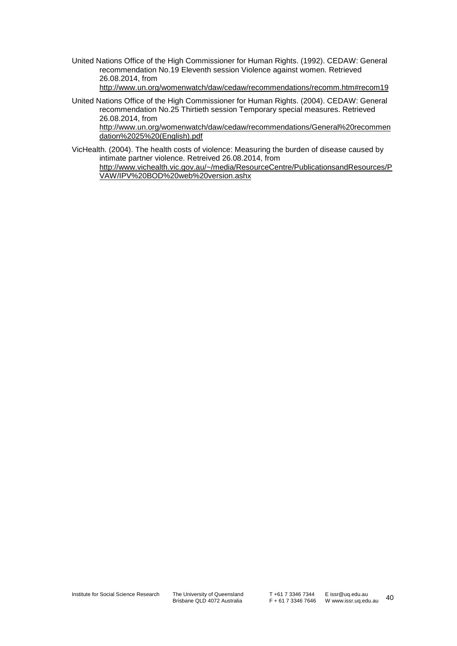United Nations Office of the High Commissioner for Human Rights. (1992). CEDAW: General recommendation No.19 Eleventh session Violence against women. Retrieved 26.08.2014, from

http://www.un.org/womenwatch/daw/cedaw/recommendations/recomm.htm#recom19

United Nations Office of the High Commissioner for Human Rights. (2004). CEDAW: General recommendation No.25 Thirtieth session Temporary special measures. Retrieved 26.08.2014, from

http://www.un.org/womenwatch/daw/cedaw/recommendations/General%20recommen dation%2025%20(English).pdf

VicHealth. (2004). The health costs of violence: Measuring the burden of disease caused by intimate partner violence. Retreived 26.08.2014, from http://www.vichealth.vic.gov.au/~/media/ResourceCentre/PublicationsandResources/P VAW/IPV%20BOD%20web%20version.ashx